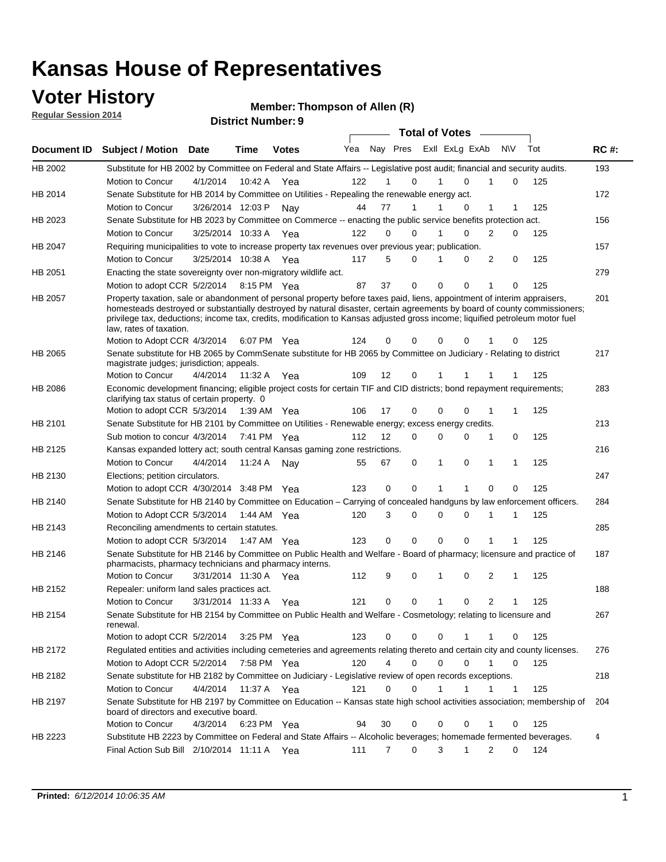### **Voter History**

**Regular Session 2014**

#### **Member: Thompson of Allen (R)**

|             |                                                                                                                                                                                                                                                                                      |                       |             | <b>DISTRICT MAILINGL'S</b> |     |                   |          | <b>Total of Votes</b> |                |              |             |     |             |
|-------------|--------------------------------------------------------------------------------------------------------------------------------------------------------------------------------------------------------------------------------------------------------------------------------------|-----------------------|-------------|----------------------------|-----|-------------------|----------|-----------------------|----------------|--------------|-------------|-----|-------------|
| Document ID | <b>Subject / Motion</b>                                                                                                                                                                                                                                                              | Date                  | Time        | <b>Votes</b>               | Yea |                   | Nay Pres |                       | Exll ExLg ExAb | N\V          |             | Tot | <b>RC#:</b> |
| HB 2002     | Substitute for HB 2002 by Committee on Federal and State Affairs -- Legislative post audit; financial and security audits.                                                                                                                                                           |                       |             |                            |     |                   |          |                       |                |              |             |     | 193         |
|             | Motion to Concur                                                                                                                                                                                                                                                                     | 4/1/2014              | 10:42 A     | Yea                        | 122 |                   | 0        |                       | $\Omega$       |              | 0           | 125 |             |
| HB 2014     | Senate Substitute for HB 2014 by Committee on Utilities - Repealing the renewable energy act.                                                                                                                                                                                        |                       |             |                            |     |                   |          |                       |                |              |             |     | 172         |
|             | Motion to Concur                                                                                                                                                                                                                                                                     | 3/26/2014 12:03 P     |             | Nav                        | 44  | 77                | 1        |                       | 0              | 1            | 1           | 125 |             |
| HB 2023     | Senate Substitute for HB 2023 by Committee on Commerce -- enacting the public service benefits protection act.                                                                                                                                                                       |                       |             |                            |     |                   |          |                       |                |              |             |     | 156         |
|             | Motion to Concur                                                                                                                                                                                                                                                                     | 3/25/2014 10:33 A Yea |             |                            | 122 | $\Omega$          | 0        | 1                     | $\Omega$       | 2            | 0           | 125 |             |
| HB 2047     | Requiring municipalities to vote to increase property tax revenues over previous year; publication.                                                                                                                                                                                  |                       |             |                            |     |                   |          |                       |                |              |             |     | 157         |
|             | Motion to Concur                                                                                                                                                                                                                                                                     | 3/25/2014 10:38 A     |             | Yea                        | 117 | 5                 | 0        |                       | 0              | 2            | 0           | 125 |             |
| HB 2051     | Enacting the state sovereignty over non-migratory wildlife act.                                                                                                                                                                                                                      |                       |             |                            |     |                   |          |                       |                |              |             |     | 279         |
|             | Motion to adopt CCR 5/2/2014                                                                                                                                                                                                                                                         |                       | 8:15 PM Yea |                            | 87  | 37                | 0        | 0                     | 0              | 1            | $\Omega$    | 125 |             |
| HB 2057     | Property taxation, sale or abandonment of personal property before taxes paid, liens, appointment of interim appraisers,                                                                                                                                                             |                       |             |                            |     |                   |          |                       |                |              |             |     | 201         |
|             | homesteads destroyed or substantially destroyed by natural disaster, certain agreements by board of county commissioners;<br>privilege tax, deductions; income tax, credits, modification to Kansas adjusted gross income; liquified petroleum motor fuel<br>law, rates of taxation. |                       |             |                            | 124 | 0                 | 0        | 0                     | $\Omega$       |              | 0           | 125 |             |
|             | Motion to Adopt CCR 4/3/2014                                                                                                                                                                                                                                                         |                       |             | 6:07 PM Yea                |     |                   |          |                       |                |              |             |     |             |
| HB 2065     | Senate substitute for HB 2065 by CommSenate substitute for HB 2065 by Committee on Judiciary - Relating to district<br>magistrate judges; jurisdiction; appeals.                                                                                                                     |                       |             |                            |     |                   |          |                       |                |              |             |     | 217         |
|             | Motion to Concur                                                                                                                                                                                                                                                                     | 4/4/2014 11:32 A Yea  |             |                            | 109 | $12 \overline{ }$ | 0        | 1                     | -1             | -1           | 1           | 125 |             |
| HB 2086     | Economic development financing; eligible project costs for certain TIF and CID districts; bond repayment requirements;<br>clarifying tax status of certain property. 0                                                                                                               |                       |             |                            |     |                   |          |                       |                |              |             |     | 283         |
|             | Motion to adopt CCR 5/3/2014 1:39 AM Yea                                                                                                                                                                                                                                             |                       |             |                            | 106 | 17                | 0        | 0                     | $\Omega$       | 1            | 1           | 125 |             |
| HB 2101     | Senate Substitute for HB 2101 by Committee on Utilities - Renewable energy; excess energy credits.                                                                                                                                                                                   |                       |             |                            |     |                   |          |                       |                |              |             |     | 213         |
|             | Sub motion to concur 4/3/2014                                                                                                                                                                                                                                                        |                       |             | 7:41 PM Yea                | 112 | 12                | 0        | 0                     | $\mathbf 0$    | 1            | 0           | 125 |             |
| HB 2125     | Kansas expanded lottery act; south central Kansas gaming zone restrictions.                                                                                                                                                                                                          |                       |             |                            |     |                   |          |                       |                |              |             |     | 216         |
|             | Motion to Concur                                                                                                                                                                                                                                                                     | 4/4/2014              | 11:24 A     | Nav                        | 55  | 67                | 0        | 1                     | 0              | $\mathbf{1}$ | $\mathbf 1$ | 125 |             |
| HB 2130     | Elections; petition circulators.                                                                                                                                                                                                                                                     |                       |             |                            |     |                   |          |                       |                |              |             |     | 247         |
|             | Motion to adopt CCR 4/30/2014 3:48 PM Yea                                                                                                                                                                                                                                            |                       |             |                            | 123 | 0                 | 0        | 1                     | 1              | $\Omega$     | 0           | 125 |             |
| HB 2140     | Senate Substitute for HB 2140 by Committee on Education – Carrying of concealed handguns by law enforcement officers.                                                                                                                                                                |                       |             |                            |     |                   |          |                       |                |              |             |     | 284         |
|             | Motion to Adopt CCR 5/3/2014                                                                                                                                                                                                                                                         |                       |             | 1:44 AM Yea                | 120 |                   | 3<br>0   | 0                     | 0              | -1           | 1           | 125 |             |
| HB 2143     | Reconciling amendments to certain statutes.                                                                                                                                                                                                                                          |                       |             |                            |     |                   |          |                       |                |              |             |     | 285         |
|             | Motion to adopt CCR 5/3/2014                                                                                                                                                                                                                                                         |                       |             | 1:47 AM Yea                | 123 | 0                 | 0        | 0                     | 0              | 1            | 1           | 125 |             |
| HB 2146     | Senate Substitute for HB 2146 by Committee on Public Health and Welfare - Board of pharmacy; licensure and practice of<br>pharmacists, pharmacy technicians and pharmacy interns.                                                                                                    |                       |             |                            |     |                   |          |                       |                |              |             |     | 187         |
|             | Motion to Concur                                                                                                                                                                                                                                                                     | 3/31/2014 11:30 A     |             | Yea                        | 112 | 9                 | 0        | 1                     | 0              | 2            | 1           | 125 |             |
| HB 2152     | Repealer: uniform land sales practices act.                                                                                                                                                                                                                                          |                       |             |                            |     |                   |          |                       |                |              |             |     | 188         |
|             | <b>Motion to Concur</b>                                                                                                                                                                                                                                                              | 3/31/2014 11:33 A     |             | Yea                        | 121 |                   | 0<br>0   | 1                     | 0              | 2            | 1           | 125 |             |
| HB 2154     | Senate Substitute for HB 2154 by Committee on Public Health and Welfare - Cosmetology; relating to licensure and<br>renewal.                                                                                                                                                         |                       |             |                            |     |                   |          |                       |                |              |             |     | 267         |
|             | Motion to adopt CCR 5/2/2014 3:25 PM Yea                                                                                                                                                                                                                                             |                       |             |                            | 123 |                   | 0<br>0   | 0                     |                | 1            | 0           | 125 |             |
| HB 2172     | Regulated entities and activities including cemeteries and agreements relating thereto and certain city and county licenses.                                                                                                                                                         |                       |             |                            |     |                   |          |                       |                |              |             |     | 276         |
|             | Motion to Adopt CCR 5/2/2014                                                                                                                                                                                                                                                         |                       | 7:58 PM Yea |                            | 120 |                   | 4<br>0   | $\mathbf 0$           | $\mathbf 0$    | $\mathbf{1}$ | 0           | 125 |             |
| HB 2182     | Senate substitute for HB 2182 by Committee on Judiciary - Legislative review of open records exceptions.                                                                                                                                                                             |                       |             |                            |     |                   |          |                       |                |              |             |     | 218         |
|             | Motion to Concur                                                                                                                                                                                                                                                                     | 4/4/2014 11:37 A Yea  |             |                            | 121 |                   | 0<br>0   | 1                     | 1              | $\mathbf 1$  | $\mathbf 1$ | 125 |             |
| HB 2197     | Senate Substitute for HB 2197 by Committee on Education -- Kansas state high school activities association; membership of<br>board of directors and executive board.                                                                                                                 |                       |             |                            |     |                   |          |                       |                |              |             |     | 204         |
|             |                                                                                                                                                                                                                                                                                      | 4/3/2014              |             |                            | 94  |                   | 0        |                       |                |              |             | 125 |             |
|             | Motion to Concur                                                                                                                                                                                                                                                                     |                       |             | 6:23 PM Yea                |     | 30                |          | 0                     | 0              |              | 0           |     |             |
| HB 2223     | Substitute HB 2223 by Committee on Federal and State Affairs -- Alcoholic beverages; homemade fermented beverages.<br>Final Action Sub Bill 2/10/2014 11:11 A Yea                                                                                                                    |                       |             |                            | 111 |                   | 0<br>7   | 3                     | $\mathbf{1}$   | 2            | 0           | 124 | 4           |
|             |                                                                                                                                                                                                                                                                                      |                       |             |                            |     |                   |          |                       |                |              |             |     |             |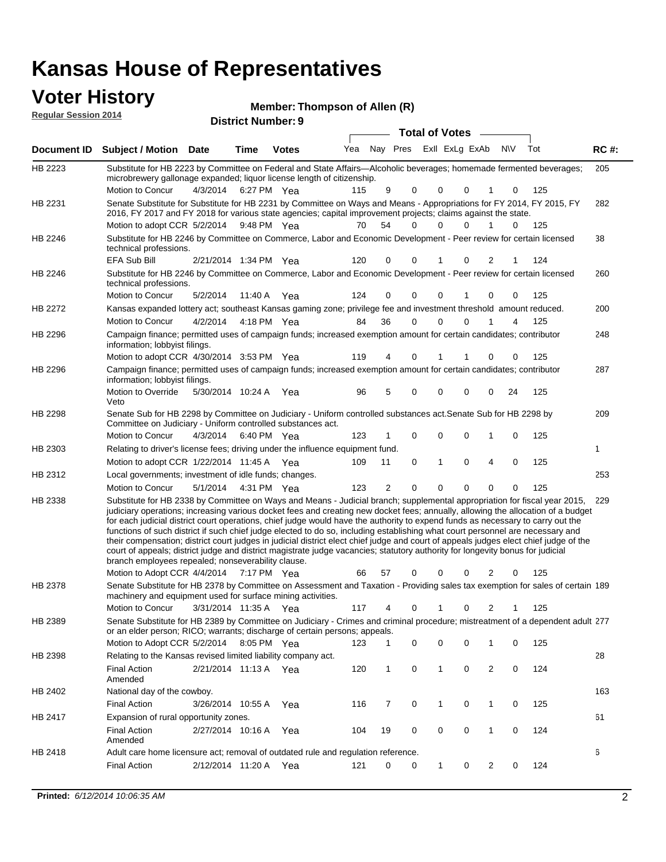| <b>Voter History</b><br><b>Regular Session 2014</b> |                                                                                                                                                                                                                                                                                                                                                                                                                                                                                                                                                                                                                                                                                                                                                                                                                                                                                                                 |                       |      | Member: Thompson of Allen (R)<br><b>District Number: 9</b> |     |    |                            |                       |                |              |             |           |     |             |
|-----------------------------------------------------|-----------------------------------------------------------------------------------------------------------------------------------------------------------------------------------------------------------------------------------------------------------------------------------------------------------------------------------------------------------------------------------------------------------------------------------------------------------------------------------------------------------------------------------------------------------------------------------------------------------------------------------------------------------------------------------------------------------------------------------------------------------------------------------------------------------------------------------------------------------------------------------------------------------------|-----------------------|------|------------------------------------------------------------|-----|----|----------------------------|-----------------------|----------------|--------------|-------------|-----------|-----|-------------|
|                                                     |                                                                                                                                                                                                                                                                                                                                                                                                                                                                                                                                                                                                                                                                                                                                                                                                                                                                                                                 |                       |      |                                                            |     |    |                            | <b>Total of Votes</b> |                |              | $\sim$      |           |     |             |
| Document ID                                         | <b>Subject / Motion Date</b>                                                                                                                                                                                                                                                                                                                                                                                                                                                                                                                                                                                                                                                                                                                                                                                                                                                                                    |                       | Time | <b>Votes</b>                                               | Yea |    | Nay Pres                   |                       | Exll ExLg ExAb |              |             | <b>NV</b> | Tot | <b>RC#:</b> |
| HB 2223                                             | Substitute for HB 2223 by Committee on Federal and State Affairs—Alcoholic beverages; homemade fermented beverages;<br>microbrewery gallonage expanded; liquor license length of citizenship.                                                                                                                                                                                                                                                                                                                                                                                                                                                                                                                                                                                                                                                                                                                   |                       |      |                                                            |     |    |                            |                       |                |              |             |           |     | 205         |
|                                                     | Motion to Concur                                                                                                                                                                                                                                                                                                                                                                                                                                                                                                                                                                                                                                                                                                                                                                                                                                                                                                | 4/3/2014              |      | 6:27 PM Yea                                                | 115 |    | 9<br>$\Omega$              |                       | 0              | 0            | 1           | 0         | 125 |             |
| HB 2231                                             | Senate Substitute for Substitute for HB 2231 by Committee on Ways and Means - Appropriations for FY 2014, FY 2015, FY<br>2016, FY 2017 and FY 2018 for various state agencies; capital improvement projects; claims against the state.<br>Motion to adopt CCR 5/2/2014                                                                                                                                                                                                                                                                                                                                                                                                                                                                                                                                                                                                                                          |                       |      | 9:48 PM Yea                                                | 70  | 54 | <sup>0</sup>               |                       | $\Omega$       | 0            |             | 0         | 125 | 282         |
| HB 2246                                             | Substitute for HB 2246 by Committee on Commerce, Labor and Economic Development - Peer review for certain licensed<br>technical professions.                                                                                                                                                                                                                                                                                                                                                                                                                                                                                                                                                                                                                                                                                                                                                                    |                       |      |                                                            |     |    |                            |                       |                |              |             |           |     | 38          |
|                                                     | EFA Sub Bill                                                                                                                                                                                                                                                                                                                                                                                                                                                                                                                                                                                                                                                                                                                                                                                                                                                                                                    | 2/21/2014 1:34 PM Yea |      |                                                            | 120 |    | 0<br>$\Omega$              |                       | 1              | 0            | 2           | 1         | 124 |             |
| HB 2246                                             | Substitute for HB 2246 by Committee on Commerce, Labor and Economic Development - Peer review for certain licensed<br>technical professions.                                                                                                                                                                                                                                                                                                                                                                                                                                                                                                                                                                                                                                                                                                                                                                    |                       |      |                                                            |     |    |                            |                       |                |              |             |           |     | 260         |
|                                                     | Motion to Concur                                                                                                                                                                                                                                                                                                                                                                                                                                                                                                                                                                                                                                                                                                                                                                                                                                                                                                | 5/2/2014              |      | 11:40 A Yea                                                | 124 |    | $\Omega$<br>$\Omega$       |                       | $\Omega$       | 1            | $\mathbf 0$ | 0         | 125 |             |
| HB 2272                                             | Kansas expanded lottery act; southeast Kansas gaming zone; privilege fee and investment threshold amount reduced.                                                                                                                                                                                                                                                                                                                                                                                                                                                                                                                                                                                                                                                                                                                                                                                               |                       |      |                                                            |     |    |                            |                       |                |              |             |           |     | 200         |
|                                                     | <b>Motion to Concur</b>                                                                                                                                                                                                                                                                                                                                                                                                                                                                                                                                                                                                                                                                                                                                                                                                                                                                                         | 4/2/2014              |      | 4:18 PM Yea                                                | 84  | 36 | 0                          |                       | 0              | 0            | 1           | 4         | 125 |             |
| HB 2296                                             | Campaign finance; permitted uses of campaign funds; increased exemption amount for certain candidates; contributor<br>information; lobbyist filings.                                                                                                                                                                                                                                                                                                                                                                                                                                                                                                                                                                                                                                                                                                                                                            |                       |      |                                                            |     |    |                            |                       |                |              |             |           |     | 248         |
|                                                     | Motion to adopt CCR 4/30/2014 3:53 PM Yea                                                                                                                                                                                                                                                                                                                                                                                                                                                                                                                                                                                                                                                                                                                                                                                                                                                                       |                       |      |                                                            | 119 |    | 4<br>0                     |                       | 1              |              | $\Omega$    | 0         | 125 |             |
| HB 2296                                             | Campaign finance; permitted uses of campaign funds; increased exemption amount for certain candidates; contributor<br>information; lobbyist filings.                                                                                                                                                                                                                                                                                                                                                                                                                                                                                                                                                                                                                                                                                                                                                            |                       |      |                                                            |     |    |                            |                       |                |              |             |           |     | 287         |
|                                                     | Motion to Override<br>Veto                                                                                                                                                                                                                                                                                                                                                                                                                                                                                                                                                                                                                                                                                                                                                                                                                                                                                      | 5/30/2014 10:24 A Yea |      |                                                            | 96  |    | 5<br>$\Omega$              |                       | 0              | 0            | 0           | 24        | 125 |             |
| HB 2298                                             | Senate Sub for HB 2298 by Committee on Judiciary - Uniform controlled substances act. Senate Sub for HB 2298 by<br>Committee on Judiciary - Uniform controlled substances act.                                                                                                                                                                                                                                                                                                                                                                                                                                                                                                                                                                                                                                                                                                                                  |                       |      |                                                            |     |    |                            |                       |                |              |             |           |     | 209         |
|                                                     | Motion to Concur                                                                                                                                                                                                                                                                                                                                                                                                                                                                                                                                                                                                                                                                                                                                                                                                                                                                                                | 4/3/2014              |      | 6:40 PM Yea                                                | 123 |    | 1<br>0                     |                       | 0              | 0            | 1           | 0         | 125 |             |
| HB 2303                                             | Relating to driver's license fees; driving under the influence equipment fund.                                                                                                                                                                                                                                                                                                                                                                                                                                                                                                                                                                                                                                                                                                                                                                                                                                  |                       |      |                                                            |     |    |                            |                       |                |              |             |           |     | 1           |
|                                                     | Motion to adopt CCR 1/22/2014 11:45 A Yea                                                                                                                                                                                                                                                                                                                                                                                                                                                                                                                                                                                                                                                                                                                                                                                                                                                                       |                       |      |                                                            | 109 | 11 | 0                          |                       | 1              | 0            | 4           | 0         | 125 |             |
| HB 2312                                             | Local governments; investment of idle funds; changes.                                                                                                                                                                                                                                                                                                                                                                                                                                                                                                                                                                                                                                                                                                                                                                                                                                                           |                       |      |                                                            |     |    |                            |                       |                |              |             |           |     | 253         |
|                                                     | Motion to Concur                                                                                                                                                                                                                                                                                                                                                                                                                                                                                                                                                                                                                                                                                                                                                                                                                                                                                                | 5/1/2014              |      | 4:31 PM Yea                                                | 123 |    | $\overline{2}$<br>$\Omega$ |                       | $\Omega$       | $\mathbf{0}$ | $\Omega$    | $\Omega$  | 125 |             |
| HB 2338                                             | Substitute for HB 2338 by Committee on Ways and Means - Judicial branch; supplemental appropriation for fiscal year 2015,<br>judiciary operations; increasing various docket fees and creating new docket fees; annually, allowing the allocation of a budget<br>for each judicial district court operations, chief judge would have the authority to expend funds as necessary to carry out the<br>functions of such district if such chief judge elected to do so, including establishing what court personnel are necessary and<br>their compensation; district court judges in judicial district elect chief judge and court of appeals judges elect chief judge of the<br>court of appeals; district judge and district magistrate judge vacancies; statutory authority for longevity bonus for judicial<br>branch employees repealed; nonseverability clause.<br>Motion to Adopt CCR 4/4/2014 7:17 PM Yea |                       |      |                                                            | 66  | 57 | $\Omega$                   |                       | $\Omega$       | $\mathbf{0}$ | 2           | 0         | 125 | 229         |
| HB 2378                                             | Senate Substitute for HB 2378 by Committee on Assessment and Taxation - Providing sales tax exemption for sales of certain 189<br>machinery and equipment used for surface mining activities.                                                                                                                                                                                                                                                                                                                                                                                                                                                                                                                                                                                                                                                                                                                   |                       |      |                                                            |     |    |                            |                       |                |              |             |           |     |             |
|                                                     | Motion to Concur                                                                                                                                                                                                                                                                                                                                                                                                                                                                                                                                                                                                                                                                                                                                                                                                                                                                                                | 3/31/2014 11:35 A Yea |      |                                                            | 117 |    | $\Omega$                   |                       |                | 0            | 2           |           | 125 |             |
| HB 2389                                             | Senate Substitute for HB 2389 by Committee on Judiciary - Crimes and criminal procedure; mistreatment of a dependent adult 277<br>or an elder person: RICO: warrants: discharge of certain persons: appeals                                                                                                                                                                                                                                                                                                                                                                                                                                                                                                                                                                                                                                                                                                     |                       |      |                                                            |     |    |                            |                       |                |              |             |           |     |             |

|                | or an elder person; RICO; warrants; discharge or certain persons; appeals.        |                   |         |     |     |    |          |          |          |    |          |     |     |
|----------------|-----------------------------------------------------------------------------------|-------------------|---------|-----|-----|----|----------|----------|----------|----|----------|-----|-----|
|                | Motion to Adopt CCR 5/2/2014                                                      |                   | 8:05 PM | Yea | 123 |    | 0        | 0        | $\Omega$ | 1. | $\Omega$ | 125 |     |
| HB 2398        | Relating to the Kansas revised limited liability company act.                     |                   |         |     |     |    |          |          |          |    |          |     | 28  |
|                | <b>Final Action</b><br>Amended                                                    | 2/21/2014 11:13 A |         | Yea | 120 |    | 0        |          | $\Omega$ | 2  | $\Omega$ | 124 |     |
| HB 2402        | National day of the cowboy.                                                       |                   |         |     |     |    |          |          |          |    |          |     | 163 |
|                | <b>Final Action</b>                                                               | 3/26/2014         | 10:55 A | Yea | 116 |    | $\Omega$ |          | $\Omega$ |    | $\Omega$ | 125 |     |
| <b>HB 2417</b> | Expansion of rural opportunity zones.                                             |                   |         |     |     |    |          |          |          |    |          |     | 61  |
|                | <b>Final Action</b><br>Amended                                                    | 2/27/2014 10:16 A |         | Yea | 104 | 19 | $\Omega$ | $\Omega$ | $\Omega$ |    | $\Omega$ | 124 |     |
| HB 2418        | Adult care home licensure act; removal of outdated rule and regulation reference. |                   |         |     |     |    |          |          |          |    |          |     | 6   |
|                | <b>Final Action</b>                                                               | 2/12/2014         | 11:20 A | Yea | 121 | 0  | 0        |          | 0        | 2  | $\Omega$ | 124 |     |
|                |                                                                                   |                   |         |     |     |    |          |          |          |    |          |     |     |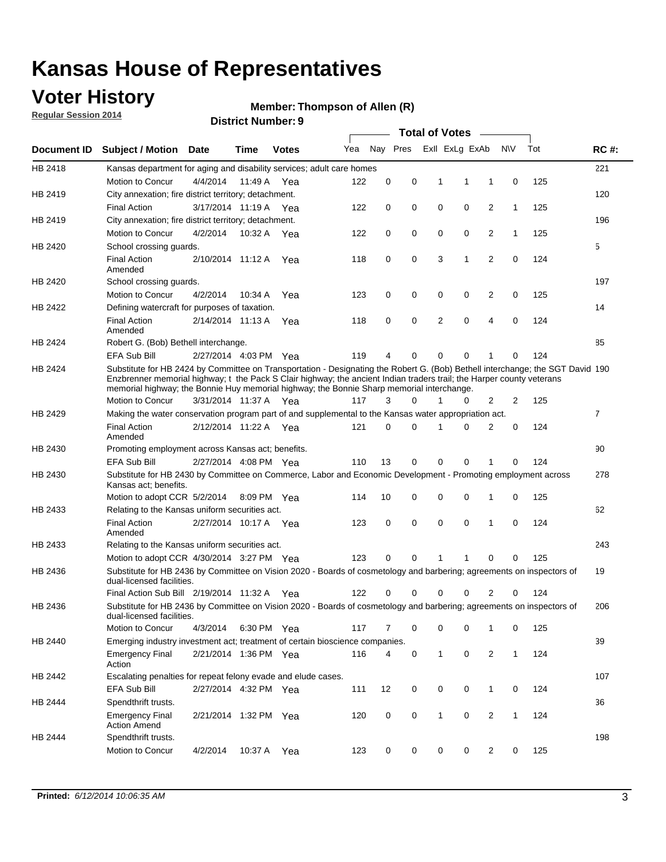### **Voter History**

**Regular Session 2014**

#### **Member: Thompson of Allen (R)**

|                |                                                                                                                                                                                                                                                                                                                                                      |                       | <b>DISUIGLIVAIIIDEL.J</b> |              |     |          |             | <b>Total of Votes</b> |                |                |              |     |                |
|----------------|------------------------------------------------------------------------------------------------------------------------------------------------------------------------------------------------------------------------------------------------------------------------------------------------------------------------------------------------------|-----------------------|---------------------------|--------------|-----|----------|-------------|-----------------------|----------------|----------------|--------------|-----|----------------|
| Document ID    | <b>Subject / Motion Date</b>                                                                                                                                                                                                                                                                                                                         |                       | Time                      | <b>Votes</b> | Yea |          | Nay Pres    |                       | Exll ExLg ExAb |                | <b>NV</b>    | Tot | <b>RC#:</b>    |
| HB 2418        | Kansas department for aging and disability services; adult care homes                                                                                                                                                                                                                                                                                |                       |                           |              |     |          |             |                       |                |                |              |     | 221            |
|                | Motion to Concur                                                                                                                                                                                                                                                                                                                                     | 4/4/2014              | 11:49 A                   | Yea          | 122 | 0        | 0           | 1                     | 1              | 1              | 0            | 125 |                |
| HB 2419        | City annexation; fire district territory; detachment.                                                                                                                                                                                                                                                                                                |                       |                           |              |     |          |             |                       |                |                |              |     | 120            |
|                | <b>Final Action</b>                                                                                                                                                                                                                                                                                                                                  | 3/17/2014 11:19 A     |                           | Yea          | 122 | 0        | 0           | $\mathbf 0$           | 0              | $\overline{2}$ | 1            | 125 |                |
| HB 2419        | City annexation; fire district territory; detachment.                                                                                                                                                                                                                                                                                                |                       |                           |              |     |          |             |                       |                |                |              |     | 196            |
|                | Motion to Concur                                                                                                                                                                                                                                                                                                                                     | 4/2/2014              | 10:32 A                   | Yea          | 122 | 0        | 0           | $\mathbf 0$           | 0              | 2              | 1            | 125 |                |
| HB 2420        | School crossing guards.                                                                                                                                                                                                                                                                                                                              |                       |                           |              |     |          |             |                       |                |                |              |     | 5              |
|                | <b>Final Action</b><br>Amended                                                                                                                                                                                                                                                                                                                       | 2/10/2014 11:12 A     |                           | Yea          | 118 | 0        | 0           | 3                     | 1              | $\overline{2}$ | 0            | 124 |                |
| HB 2420        | School crossing guards.                                                                                                                                                                                                                                                                                                                              |                       |                           |              |     |          |             |                       |                |                |              |     | 197            |
|                | Motion to Concur                                                                                                                                                                                                                                                                                                                                     | 4/2/2014              | 10:34 A                   | Yea          | 123 | 0        | 0           | 0                     | 0              | 2              | 0            | 125 |                |
| HB 2422        | Defining watercraft for purposes of taxation.                                                                                                                                                                                                                                                                                                        |                       |                           |              |     |          |             |                       |                |                |              |     | 14             |
|                | <b>Final Action</b><br>Amended                                                                                                                                                                                                                                                                                                                       | 2/14/2014 11:13 A     |                           | Yea          | 118 | 0        | 0           | $\overline{2}$        | $\mathbf 0$    | $\overline{4}$ | 0            | 124 |                |
| HB 2424        | Robert G. (Bob) Bethell interchange.                                                                                                                                                                                                                                                                                                                 |                       |                           |              |     |          |             |                       |                |                |              |     | 85             |
|                | <b>EFA Sub Bill</b>                                                                                                                                                                                                                                                                                                                                  | 2/27/2014 4:03 PM Yea |                           |              | 119 | 4        | 0           | 0                     | 0              | 1              | 0            | 124 |                |
| HB 2424        | Substitute for HB 2424 by Committee on Transportation - Designating the Robert G. (Bob) Bethell interchange; the SGT David 190<br>Enzbrenner memorial highway; t the Pack S Clair highway; the ancient Indian traders trail; the Harper county veterans<br>memorial highway; the Bonnie Huy memorial highway; the Bonnie Sharp memorial interchange. |                       |                           |              |     |          |             |                       |                |                |              |     |                |
|                | Motion to Concur                                                                                                                                                                                                                                                                                                                                     | 3/31/2014 11:37 A Yea |                           |              | 117 | 3        | 0           | 1                     | 0              | 2              | 2            | 125 |                |
| HB 2429        | Making the water conservation program part of and supplemental to the Kansas water appropriation act.                                                                                                                                                                                                                                                |                       |                           |              |     |          |             |                       |                |                |              |     | $\overline{7}$ |
|                | <b>Final Action</b><br>Amended                                                                                                                                                                                                                                                                                                                       | 2/12/2014 11:22 A     |                           | Yea          | 121 | $\Omega$ | 0           | 1                     | $\Omega$       | $\overline{2}$ | 0            | 124 |                |
| HB 2430        | Promoting employment across Kansas act; benefits.                                                                                                                                                                                                                                                                                                    |                       |                           |              |     |          |             |                       |                |                |              |     | 90             |
|                | EFA Sub Bill                                                                                                                                                                                                                                                                                                                                         | 2/27/2014 4:08 PM Yea |                           |              | 110 | 13       | 0           | 0                     | 0              |                | 0            | 124 |                |
| HB 2430        | Substitute for HB 2430 by Committee on Commerce, Labor and Economic Development - Promoting employment across<br>Kansas act; benefits.                                                                                                                                                                                                               |                       |                           |              |     |          |             |                       |                |                |              |     | 278            |
|                | Motion to adopt CCR 5/2/2014                                                                                                                                                                                                                                                                                                                         |                       | 8:09 PM Yea               |              | 114 | 10       | 0           | 0                     | 0              | 1              | $\mathbf 0$  | 125 |                |
| HB 2433        | Relating to the Kansas uniform securities act.                                                                                                                                                                                                                                                                                                       |                       |                           |              |     |          |             |                       |                |                |              |     | 62             |
|                | <b>Final Action</b><br>Amended                                                                                                                                                                                                                                                                                                                       | 2/27/2014 10:17 A Yea |                           |              | 123 | 0        | $\mathbf 0$ | $\mathbf 0$           | $\mathbf 0$    | 1              | $\Omega$     | 124 |                |
| HB 2433        | Relating to the Kansas uniform securities act.                                                                                                                                                                                                                                                                                                       |                       |                           |              |     |          |             |                       |                |                |              |     | 243            |
|                | Motion to adopt CCR 4/30/2014 3:27 PM Yea                                                                                                                                                                                                                                                                                                            |                       |                           |              | 123 | 0        | 0           | 1                     | 1              | 0              | 0            | 125 |                |
| HB 2436        | Substitute for HB 2436 by Committee on Vision 2020 - Boards of cosmetology and barbering; agreements on inspectors of<br>dual-licensed facilities.                                                                                                                                                                                                   |                       |                           |              |     |          |             |                       |                |                |              |     | 19             |
|                | Final Action Sub Bill 2/19/2014 11:32 A                                                                                                                                                                                                                                                                                                              |                       |                           | Yea          | 122 | 0        | 0           | 0                     | 0              | 2              | 0            | 124 |                |
| HB 2436        | Substitute for HB 2436 by Committee on Vision 2020 - Boards of cosmetology and barbering; agreements on inspectors of<br>dual-licensed facilities.                                                                                                                                                                                                   |                       |                           |              |     |          |             |                       |                |                |              |     | 206            |
|                | Motion to Concur                                                                                                                                                                                                                                                                                                                                     | 4/3/2014              | 6:30 PM Yea               |              | 117 | 7        | 0           | 0                     | 0              | 1              | 0            | 125 |                |
| <b>HB 2440</b> | Emerging industry investment act; treatment of certain bioscience companies.                                                                                                                                                                                                                                                                         |                       |                           |              |     |          |             |                       |                |                |              |     | 39             |
|                | <b>Emergency Final</b><br>Action                                                                                                                                                                                                                                                                                                                     | 2/21/2014 1:36 PM Yea |                           |              | 116 | 4        | 0           | $\mathbf{1}$          | 0              | 2              | $\mathbf{1}$ | 124 |                |
| HB 2442        | Escalating penalties for repeat felony evade and elude cases.                                                                                                                                                                                                                                                                                        |                       |                           |              |     |          |             |                       |                |                |              |     | 107            |
|                | EFA Sub Bill                                                                                                                                                                                                                                                                                                                                         | 2/27/2014 4:32 PM Yea |                           |              | 111 | 12       | 0           | 0                     | 0              | $\mathbf{1}$   | 0            | 124 |                |
| HB 2444        | Spendthrift trusts.                                                                                                                                                                                                                                                                                                                                  |                       |                           |              |     |          |             |                       |                |                |              |     | 36             |
|                | <b>Emergency Final</b><br><b>Action Amend</b>                                                                                                                                                                                                                                                                                                        | 2/21/2014 1:32 PM Yea |                           |              | 120 | 0        | 0           | 1                     | 0              | $\overline{2}$ | 1            | 124 |                |
| HB 2444        | Spendthrift trusts.                                                                                                                                                                                                                                                                                                                                  |                       |                           |              |     |          |             |                       |                |                |              |     | 198            |
|                | Motion to Concur                                                                                                                                                                                                                                                                                                                                     | 4/2/2014              | 10:37 A                   | Yea          | 123 | 0        | 0           | 0                     | 0              | $\overline{2}$ | 0            | 125 |                |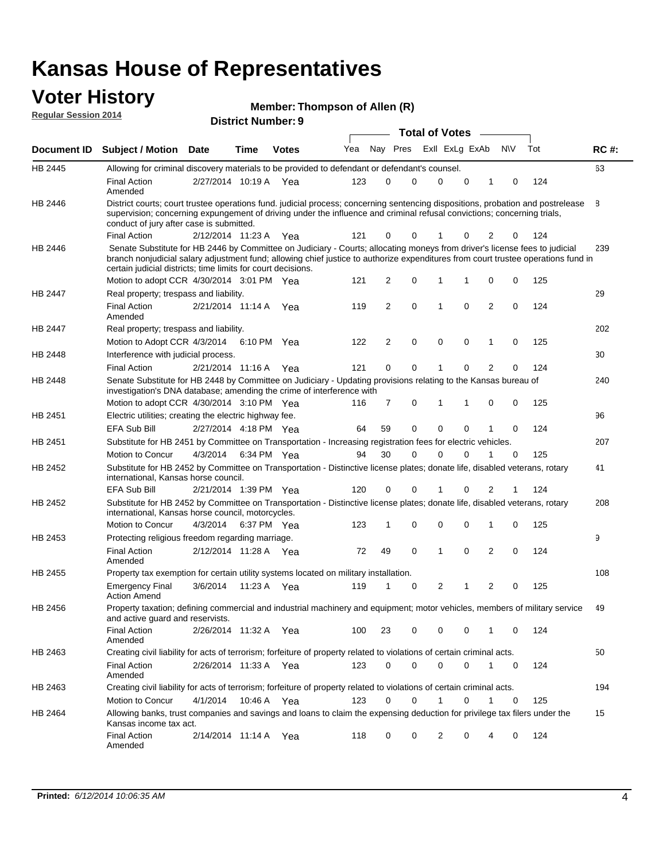# **Voter History Member: Regular Session 2014**

| <b>Member: Thompson of Allen (R)</b> |  |
|--------------------------------------|--|
|--------------------------------------|--|

| noguidi ocoololi 4014 |                                                                                                                                                                                                                                                                                                                                                                              |                       | <b>District Number: 9</b> |              |     |                |          |             |                       |             |                |     |     |             |
|-----------------------|------------------------------------------------------------------------------------------------------------------------------------------------------------------------------------------------------------------------------------------------------------------------------------------------------------------------------------------------------------------------------|-----------------------|---------------------------|--------------|-----|----------------|----------|-------------|-----------------------|-------------|----------------|-----|-----|-------------|
|                       |                                                                                                                                                                                                                                                                                                                                                                              |                       |                           |              |     |                |          |             | <b>Total of Votes</b> |             |                |     |     |             |
| Document ID           | <b>Subject / Motion</b>                                                                                                                                                                                                                                                                                                                                                      | <b>Date</b>           | <b>Time</b>               | <b>Votes</b> | Yea |                | Nay Pres |             | Exll ExLg ExAb        |             |                | N\V | Tot | <b>RC#:</b> |
| HB 2445               | Allowing for criminal discovery materials to be provided to defendant or defendant's counsel.                                                                                                                                                                                                                                                                                |                       |                           |              |     |                |          |             |                       |             |                |     |     | 63          |
|                       | <b>Final Action</b><br>Amended                                                                                                                                                                                                                                                                                                                                               | 2/27/2014 10:19 A Yea |                           |              | 123 | 0              |          | 0           | 0                     | 0           | 1              | 0   | 124 |             |
| HB 2446               | District courts; court trustee operations fund. judicial process; concerning sentencing dispositions, probation and postrelease<br>supervision; concerning expungement of driving under the influence and criminal refusal convictions; concerning trials,<br>conduct of jury after case is submitted.                                                                       |                       |                           |              |     |                |          |             |                       |             |                |     |     | 8           |
|                       | <b>Final Action</b>                                                                                                                                                                                                                                                                                                                                                          | 2/12/2014 11:23 A Yea |                           |              | 121 | 0              |          | 0           |                       | 0           | 2              | 0   | 124 |             |
| HB 2446               | Senate Substitute for HB 2446 by Committee on Judiciary - Courts; allocating moneys from driver's license fees to judicial<br>branch nonjudicial salary adjustment fund; allowing chief justice to authorize expenditures from court trustee operations fund in<br>certain judicial districts; time limits for court decisions.<br>Motion to adopt CCR 4/30/2014 3:01 PM Yea |                       |                           |              | 121 | 2              |          | 0           | 1                     | 1           | 0              | 0   | 125 | 239         |
| HB 2447               | Real property; trespass and liability.                                                                                                                                                                                                                                                                                                                                       |                       |                           |              |     |                |          |             |                       |             |                |     |     | 29          |
|                       | <b>Final Action</b><br>Amended                                                                                                                                                                                                                                                                                                                                               | 2/21/2014 11:14 A     |                           | Yea          | 119 | $\overline{2}$ |          | $\mathbf 0$ | 1                     | $\Omega$    | $\overline{2}$ | 0   | 124 |             |
| HB 2447               | Real property; trespass and liability.                                                                                                                                                                                                                                                                                                                                       |                       |                           |              |     |                |          |             |                       |             |                |     |     | 202         |
|                       | Motion to Adopt CCR 4/3/2014 6:10 PM Yea                                                                                                                                                                                                                                                                                                                                     |                       |                           |              | 122 | 2              |          | 0           | 0                     | 0           | 1              | 0   | 125 |             |
| HB 2448               | Interference with judicial process.                                                                                                                                                                                                                                                                                                                                          |                       |                           |              |     |                |          |             |                       |             |                |     |     | 30          |
|                       | <b>Final Action</b>                                                                                                                                                                                                                                                                                                                                                          | 2/21/2014 11:16 A     |                           | Yea          | 121 | 0              |          | 0           |                       | $\mathbf 0$ | 2              | 0   | 124 |             |
| <b>HB 2448</b>        | Senate Substitute for HB 2448 by Committee on Judiciary - Updating provisions relating to the Kansas bureau of<br>investigation's DNA database; amending the crime of interference with                                                                                                                                                                                      |                       |                           |              |     |                |          |             |                       |             |                |     |     | 240         |
|                       | Motion to adopt CCR 4/30/2014 3:10 PM Yea                                                                                                                                                                                                                                                                                                                                    |                       |                           |              | 116 | 7              |          | 0           | 1                     | 1           | 0              | 0   | 125 |             |
| HB 2451               | Electric utilities; creating the electric highway fee.                                                                                                                                                                                                                                                                                                                       |                       |                           |              |     |                |          |             |                       |             |                |     |     | 96          |
|                       | <b>EFA Sub Bill</b>                                                                                                                                                                                                                                                                                                                                                          | 2/27/2014 4:18 PM Yea |                           |              | 64  | 59             |          | $\mathbf 0$ | $\mathbf{0}$          | $\Omega$    | 1              | 0   | 124 |             |
| HB 2451               | Substitute for HB 2451 by Committee on Transportation - Increasing registration fees for electric vehicles.                                                                                                                                                                                                                                                                  |                       |                           |              |     |                |          |             |                       |             |                |     |     | 207         |
|                       | Motion to Concur                                                                                                                                                                                                                                                                                                                                                             | 4/3/2014              |                           | 6:34 PM Yea  | 94  | 30             |          | $\mathbf 0$ | 0                     | $\Omega$    | 1              | 0   | 125 |             |
| HB 2452               | Substitute for HB 2452 by Committee on Transportation - Distinctive license plates; donate life, disabled veterans, rotary<br>international, Kansas horse council.                                                                                                                                                                                                           |                       |                           |              |     |                |          |             |                       |             |                |     |     | 41          |
|                       | <b>EFA Sub Bill</b>                                                                                                                                                                                                                                                                                                                                                          | 2/21/2014 1:39 PM Yea |                           |              | 120 | 0              |          | 0           |                       | 0           | 2              |     | 124 |             |
| HB 2452               | Substitute for HB 2452 by Committee on Transportation - Distinctive license plates; donate life, disabled veterans, rotary<br>international, Kansas horse council, motorcycles.                                                                                                                                                                                              |                       |                           |              |     |                |          |             |                       |             |                |     |     | 208         |
|                       | Motion to Concur                                                                                                                                                                                                                                                                                                                                                             | 4/3/2014              |                           | 6:37 PM Yea  | 123 | 1              |          | 0           | 0                     | $\mathbf 0$ | 1              | 0   | 125 |             |
| HB 2453               | Protecting religious freedom regarding marriage.                                                                                                                                                                                                                                                                                                                             |                       |                           |              |     |                |          |             |                       |             |                |     |     | 9           |
|                       | <b>Final Action</b><br>Amended                                                                                                                                                                                                                                                                                                                                               | 2/12/2014 11:28 A     |                           | Yea          | 72  | 49             |          | $\mathbf 0$ | 1                     | $\mathbf 0$ | $\overline{2}$ | 0   | 124 |             |
| HB 2455               | Property tax exemption for certain utility systems located on military installation.                                                                                                                                                                                                                                                                                         |                       |                           |              |     |                |          |             |                       |             |                |     |     | 108         |
|                       | <b>Emergency Final</b><br><b>Action Amend</b>                                                                                                                                                                                                                                                                                                                                | 3/6/2014              |                           | 11:23 A Yea  | 119 | 1              |          | 0           | 2                     | 1           | $\overline{2}$ | 0   | 125 |             |
| HB 2456               | Property taxation; defining commercial and industrial machinery and equipment; motor vehicles, members of military service<br>and active guard and reservists.                                                                                                                                                                                                               |                       |                           |              |     |                |          |             |                       |             |                |     |     | 49          |
|                       | <b>Final Action</b><br>Amended                                                                                                                                                                                                                                                                                                                                               | 2/26/2014 11:32 A Yea |                           |              | 100 | 23             |          | 0           | 0                     | 0           | 1              | 0   | 124 |             |
| HB 2463               | Creating civil liability for acts of terrorism; forfeiture of property related to violations of certain criminal acts.                                                                                                                                                                                                                                                       |                       |                           |              |     |                |          |             |                       |             |                |     |     | 50          |
|                       | <b>Final Action</b><br>Amended                                                                                                                                                                                                                                                                                                                                               | 2/26/2014 11:33 A Yea |                           |              | 123 | 0              |          | 0           | $\mathbf 0$           | 0           | 1              | 0   | 124 |             |
| HB 2463               | Creating civil liability for acts of terrorism; forfeiture of property related to violations of certain criminal acts.                                                                                                                                                                                                                                                       |                       |                           |              |     |                |          |             |                       |             |                |     |     | 194         |
|                       | Motion to Concur                                                                                                                                                                                                                                                                                                                                                             | 4/1/2014              |                           | 10:46 A Yea  | 123 | 0              |          | 0           | 1                     | $\mathbf 0$ | 1              | 0   | 125 |             |
| HB 2464               | Allowing banks, trust companies and savings and loans to claim the expensing deduction for privilege tax filers under the<br>Kansas income tax act.                                                                                                                                                                                                                          |                       |                           |              |     |                |          |             |                       |             |                |     |     | 15          |
|                       | <b>Final Action</b><br>Amended                                                                                                                                                                                                                                                                                                                                               | 2/14/2014 11:14 A Yea |                           |              | 118 | 0              |          | 0           | 2                     | 0           | 4              | 0   | 124 |             |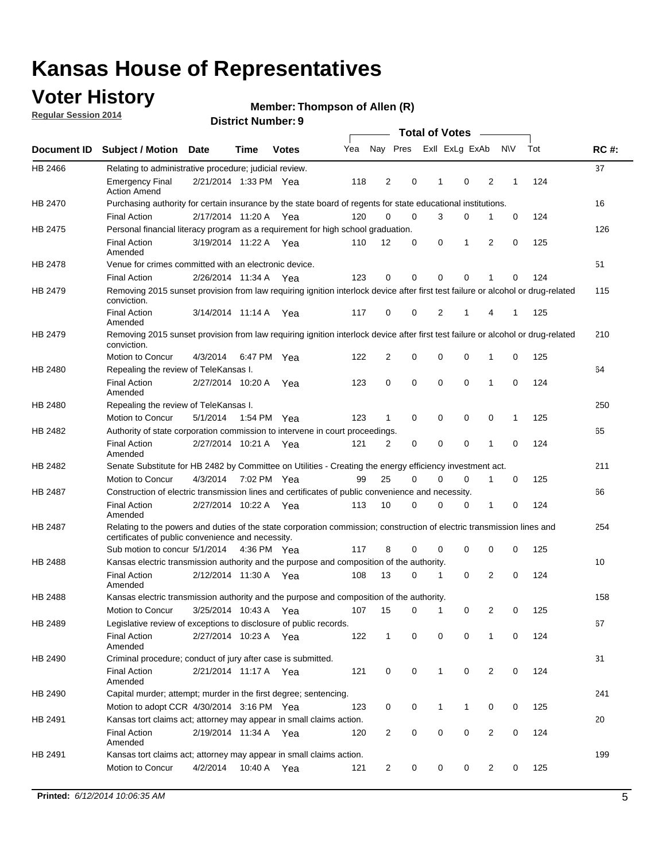## **Voter History**

**Regular Session 2014**

|                |                                                                                                                                                                             |                       |             |              |     |                |             | <b>Total of Votes</b> |                |   |             |     |             |
|----------------|-----------------------------------------------------------------------------------------------------------------------------------------------------------------------------|-----------------------|-------------|--------------|-----|----------------|-------------|-----------------------|----------------|---|-------------|-----|-------------|
|                | Document ID Subject / Motion Date                                                                                                                                           |                       | Time        | <b>Votes</b> | Yea |                | Nay Pres    |                       | Exll ExLg ExAb |   | <b>NV</b>   | Tot | <b>RC#:</b> |
| HB 2466        | Relating to administrative procedure; judicial review.                                                                                                                      |                       |             |              |     |                |             |                       |                |   |             |     | 37          |
|                | <b>Emergency Final</b><br><b>Action Amend</b>                                                                                                                               | 2/21/2014 1:33 PM Yea |             |              | 118 | 2              | 0           | 1                     | 0              | 2 | 1           | 124 |             |
| <b>HB 2470</b> | Purchasing authority for certain insurance by the state board of regents for state educational institutions.                                                                |                       |             |              |     |                |             |                       |                |   |             |     | 16          |
|                | <b>Final Action</b>                                                                                                                                                         | 2/17/2014 11:20 A Yea |             |              | 120 | 0              | 0           | 3                     | 0              | 1 | 0           | 124 |             |
| HB 2475        | Personal financial literacy program as a requirement for high school graduation.                                                                                            |                       |             |              |     |                |             |                       |                |   |             |     | 126         |
|                | <b>Final Action</b><br>Amended                                                                                                                                              | 3/19/2014 11:22 A Yea |             |              | 110 | 12             | 0           | 0                     | 1              | 2 | $\mathbf 0$ | 125 |             |
| HB 2478        | Venue for crimes committed with an electronic device.                                                                                                                       |                       |             |              |     |                |             |                       |                |   |             |     | 51          |
|                | <b>Final Action</b>                                                                                                                                                         | 2/26/2014 11:34 A     |             | Yea          | 123 | 0              | 0           | $\mathbf 0$           | $\mathbf 0$    | 1 | 0           | 124 |             |
| HB 2479        | Removing 2015 sunset provision from law requiring ignition interlock device after first test failure or alcohol or drug-related<br>conviction.                              |                       |             |              |     |                |             |                       |                |   |             |     | 115         |
|                | <b>Final Action</b><br>Amended                                                                                                                                              | 3/14/2014 11:14 A     |             | Yea          | 117 | $\mathbf 0$    | 0           | 2                     | 1              | 4 | 1           | 125 |             |
| HB 2479        | Removing 2015 sunset provision from law requiring ignition interlock device after first test failure or alcohol or drug-related<br>conviction.                              |                       |             |              |     |                |             |                       |                |   |             |     | 210         |
|                | Motion to Concur                                                                                                                                                            | 4/3/2014              |             | 6:47 PM Yea  | 122 | $\overline{2}$ | 0           | 0                     | $\mathbf 0$    | 1 | 0           | 125 |             |
| HB 2480        | Repealing the review of TeleKansas I.                                                                                                                                       |                       |             |              |     |                |             |                       |                |   |             |     | 64          |
|                | <b>Final Action</b><br>Amended                                                                                                                                              | 2/27/2014 10:20 A     |             | Yea          | 123 | 0              | 0           | $\mathbf 0$           | $\mathbf 0$    | 1 | 0           | 124 |             |
| HB 2480        | Repealing the review of TeleKansas I.                                                                                                                                       |                       |             |              |     |                |             |                       |                |   |             |     | 250         |
|                | Motion to Concur                                                                                                                                                            | 5/1/2014              |             | 1:54 PM Yea  | 123 | 1              | 0           | 0                     | 0              | 0 | 1           | 125 |             |
| <b>HB 2482</b> | Authority of state corporation commission to intervene in court proceedings.                                                                                                |                       |             |              |     |                |             |                       |                |   |             |     | 65          |
|                | <b>Final Action</b><br>Amended                                                                                                                                              | 2/27/2014 10:21 A     |             | Yea          | 121 | $\overline{2}$ | 0           | $\mathbf 0$           | $\mathbf 0$    | 1 | $\mathbf 0$ | 124 |             |
| HB 2482        | Senate Substitute for HB 2482 by Committee on Utilities - Creating the energy efficiency investment act.                                                                    |                       |             |              |     |                |             |                       |                |   |             |     | 211         |
|                | Motion to Concur                                                                                                                                                            | 4/3/2014              | 7:02 PM Yea |              | 99  | 25             | $\mathbf 0$ | 0                     | $\mathbf 0$    | 1 | 0           | 125 |             |
| HB 2487        | Construction of electric transmission lines and certificates of public convenience and necessity.                                                                           |                       |             |              |     |                |             |                       |                |   |             |     | 66          |
|                | <b>Final Action</b><br>Amended                                                                                                                                              | 2/27/2014 10:22 A     |             | Yea          | 113 | 10             | 0           | 0                     | 0              | 1 | 0           | 124 |             |
| HB 2487        | Relating to the powers and duties of the state corporation commission; construction of electric transmission lines and<br>certificates of public convenience and necessity. |                       |             |              |     |                |             |                       |                |   |             |     | 254         |
|                | Sub motion to concur 5/1/2014                                                                                                                                               |                       |             | 4:36 PM Yea  | 117 | 8              | 0           | 0                     | 0              | 0 | 0           | 125 |             |
| <b>HB 2488</b> | Kansas electric transmission authority and the purpose and composition of the authority.                                                                                    |                       |             |              |     |                |             |                       |                |   |             |     | 10          |
|                | <b>Final Action</b><br>Amended                                                                                                                                              | 2/12/2014 11:30 A     |             | Yea          | 108 | 13             | 0           | 1                     | 0              | 2 | 0           | 124 |             |
| <b>HB 2488</b> | Kansas electric transmission authority and the purpose and composition of the authority.                                                                                    |                       |             |              |     |                |             |                       |                |   |             |     | 158         |
|                | Motion to Concur                                                                                                                                                            | 3/25/2014 10:43 A     |             | Yea          | 107 | 15             | 0           | 1                     | 0              | 2 | 0           | 125 |             |
| HB 2489        | Legislative review of exceptions to disclosure of public records.                                                                                                           |                       |             |              |     |                |             |                       |                |   |             |     | 67          |
|                | <b>Final Action</b><br>Amended                                                                                                                                              | 2/27/2014 10:23 A Yea |             |              | 122 | $\mathbf 1$    | 0           | 0                     | 0              | 1 | 0           | 124 |             |
| HB 2490        | Criminal procedure; conduct of jury after case is submitted.                                                                                                                |                       |             |              |     |                |             |                       |                |   |             |     | 31          |
|                | <b>Final Action</b><br>Amended                                                                                                                                              | 2/21/2014 11:17 A Yea |             |              | 121 | 0              | 0           | $\mathbf{1}$          | $\mathbf 0$    | 2 | 0           | 124 |             |
| HB 2490        | Capital murder; attempt; murder in the first degree; sentencing.                                                                                                            |                       |             |              |     |                |             |                       |                |   |             |     | 241         |
|                | Motion to adopt CCR 4/30/2014 3:16 PM Yea                                                                                                                                   |                       |             |              | 123 | 0              | 0           | $\mathbf{1}$          | 1              | 0 | 0           | 125 |             |
| HB 2491        | Kansas tort claims act; attorney may appear in small claims action.                                                                                                         |                       |             |              |     |                |             |                       |                |   |             |     | 20          |
|                | <b>Final Action</b><br>Amended                                                                                                                                              | 2/19/2014 11:34 A Yea |             |              | 120 | $\overline{c}$ | 0           | 0                     | $\pmb{0}$      | 2 | 0           | 124 |             |
| HB 2491        | Kansas tort claims act; attorney may appear in small claims action.                                                                                                         |                       |             |              |     |                |             |                       |                |   |             |     | 199         |
|                | Motion to Concur                                                                                                                                                            | 4/2/2014              | 10:40 A     | Yea          | 121 | 2              | 0           | 0                     | 0              | 2 | 0           | 125 |             |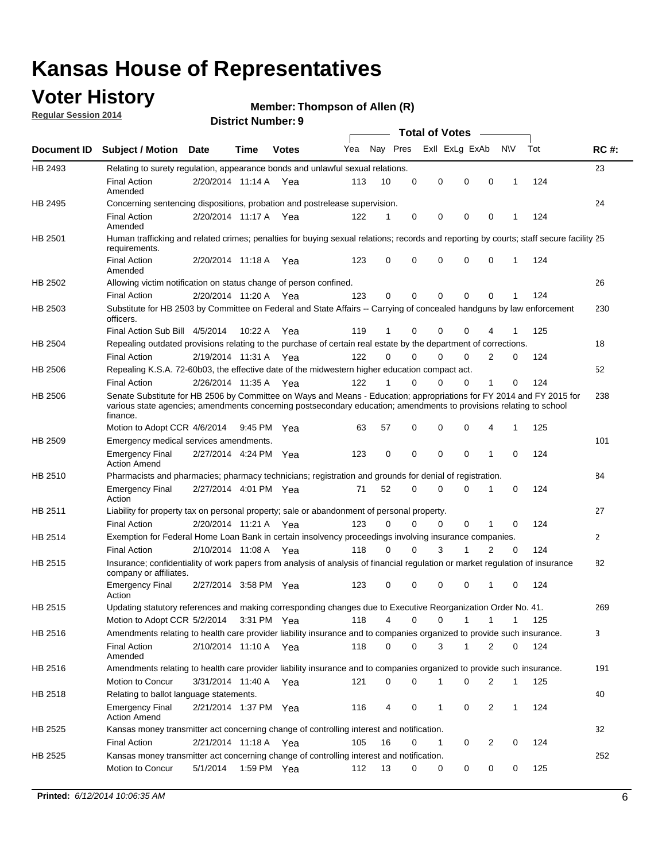### **Voter History**

**Regular Session 2014**

#### **Member: Thompson of Allen (R)**

|                    |                                                                                                                                                                                                                                                        |                       |             |              |     |          |          | <b>Total of Votes</b> |              |                |              |     |             |
|--------------------|--------------------------------------------------------------------------------------------------------------------------------------------------------------------------------------------------------------------------------------------------------|-----------------------|-------------|--------------|-----|----------|----------|-----------------------|--------------|----------------|--------------|-----|-------------|
| <b>Document ID</b> | <b>Subject / Motion Date</b>                                                                                                                                                                                                                           |                       | Time        | <b>Votes</b> | Yea | Nay Pres |          | Exll ExLg ExAb        |              |                | <b>NIV</b>   | Tot | <b>RC#:</b> |
| HB 2493            | Relating to surety regulation, appearance bonds and unlawful sexual relations.                                                                                                                                                                         |                       |             |              |     |          |          |                       |              |                |              |     | 23          |
|                    | <b>Final Action</b><br>Amended                                                                                                                                                                                                                         | 2/20/2014 11:14 A     |             | Yea          | 113 | 10       | 0        | 0                     | 0            | 0              | 1            | 124 |             |
| HB 2495            | Concerning sentencing dispositions, probation and postrelease supervision.                                                                                                                                                                             |                       |             |              |     |          |          |                       |              |                |              |     | 24          |
|                    | Final Action<br>Amended                                                                                                                                                                                                                                | 2/20/2014 11:17 A Yea |             |              | 122 | 1        | 0        | 0                     | 0            | 0              | 1            | 124 |             |
| HB 2501            | Human trafficking and related crimes; penalties for buying sexual relations; records and reporting by courts; staff secure facility 25<br>requirements.                                                                                                |                       |             |              |     |          |          |                       |              |                |              |     |             |
|                    | <b>Final Action</b><br>Amended                                                                                                                                                                                                                         | 2/20/2014 11:18 A Yea |             |              | 123 | $\Omega$ | 0        | 0                     | 0            | 0              | 1            | 124 |             |
| HB 2502            | Allowing victim notification on status change of person confined.                                                                                                                                                                                      |                       |             |              |     |          |          |                       |              |                |              |     | 26          |
|                    | Final Action                                                                                                                                                                                                                                           | 2/20/2014 11:20 A Yea |             |              | 123 | 0        | 0        | $\Omega$              | $\mathbf{0}$ | 0              |              | 124 |             |
| HB 2503            | Substitute for HB 2503 by Committee on Federal and State Affairs -- Carrying of concealed handguns by law enforcement<br>officers.                                                                                                                     |                       |             |              |     |          |          |                       |              |                |              |     | 230         |
|                    | Final Action Sub Bill 4/5/2014                                                                                                                                                                                                                         |                       | 10:22 A     | Yea          | 119 |          | 0        | 0                     | 0            | 4              |              | 125 |             |
| HB 2504            | Repealing outdated provisions relating to the purchase of certain real estate by the department of corrections.                                                                                                                                        |                       |             |              |     |          |          |                       |              |                |              |     | 18          |
|                    | <b>Final Action</b>                                                                                                                                                                                                                                    | 2/19/2014 11:31 A Yea |             |              | 122 | $\Omega$ | 0        | $\Omega$              | $\Omega$     | 2              | 0            | 124 |             |
| HB 2506            | Repealing K.S.A. 72-60b03, the effective date of the midwestern higher education compact act.                                                                                                                                                          |                       |             |              |     |          |          |                       |              |                |              |     | 52          |
|                    | <b>Final Action</b>                                                                                                                                                                                                                                    | 2/26/2014 11:35 A Yea |             |              | 122 |          | 0        | 0                     | 0            | 1              | 0            | 124 |             |
| HB 2506            | Senate Substitute for HB 2506 by Committee on Ways and Means - Education; appropriations for FY 2014 and FY 2015 for<br>various state agencies; amendments concerning postsecondary education; amendments to provisions relating to school<br>finance. |                       |             |              |     |          |          |                       |              |                |              |     | 238         |
|                    | Motion to Adopt CCR 4/6/2014                                                                                                                                                                                                                           |                       | 9:45 PM Yea |              | 63  | 57       | 0        | 0                     | 0            | 4              | 1            | 125 |             |
| HB 2509            | Emergency medical services amendments.                                                                                                                                                                                                                 |                       |             |              |     |          |          |                       |              |                |              |     | 101         |
|                    | <b>Emergency Final</b><br><b>Action Amend</b>                                                                                                                                                                                                          | 2/27/2014 4:24 PM Yea |             |              | 123 | 0        | 0        | 0                     | 0            | 1              | $\mathbf 0$  | 124 |             |
| HB 2510            | Pharmacists and pharmacies; pharmacy technicians; registration and grounds for denial of registration.                                                                                                                                                 |                       |             |              |     |          |          |                       |              |                |              |     | 84          |
|                    | <b>Emergency Final</b><br>Action                                                                                                                                                                                                                       | 2/27/2014 4:01 PM Yea |             |              | 71  | 52       | 0        | 0                     | 0            | 1              | 0            | 124 |             |
| HB 2511            | Liability for property tax on personal property; sale or abandonment of personal property.                                                                                                                                                             |                       |             |              |     |          |          |                       |              |                |              |     | 27          |
|                    | <b>Final Action</b>                                                                                                                                                                                                                                    | 2/20/2014 11:21 A Yea |             |              | 123 | $\Omega$ | 0        | 0                     | 0            | 1              | $\mathbf 0$  | 124 |             |
| HB 2514            | Exemption for Federal Home Loan Bank in certain insolvency proceedings involving insurance companies.                                                                                                                                                  |                       |             |              |     |          |          |                       |              |                |              |     | 2           |
|                    | <b>Final Action</b>                                                                                                                                                                                                                                    | 2/10/2014 11:08 A Yea |             |              | 118 | $\Omega$ | $\Omega$ | 3                     | 1            | $\overline{2}$ | $\mathbf 0$  | 124 |             |
| HB 2515            | Insurance; confidentiality of work papers from analysis of analysis of financial regulation or market regulation of insurance<br>company or affiliates.                                                                                                |                       |             |              |     |          |          |                       |              |                |              |     | 82          |
|                    | <b>Emergency Final</b><br>Action                                                                                                                                                                                                                       | 2/27/2014 3:58 PM Yea |             |              | 123 | 0        | 0        | 0                     | 0            | 1              | 0            | 124 |             |
| HB 2515            | Updating statutory references and making corresponding changes due to Executive Reorganization Order No. 41.                                                                                                                                           |                       |             |              |     |          |          |                       |              |                |              |     | 269         |
|                    | Motion to Adopt CCR 5/2/2014 3:31 PM Yea                                                                                                                                                                                                               |                       |             |              | 118 | 4        | 0        | 0                     | 1            | $\mathbf{1}$   | $\mathbf{1}$ | 125 |             |
| HB 2516            | Amendments relating to health care provider liability insurance and to companies organized to provide such insurance.                                                                                                                                  |                       |             |              |     |          |          |                       |              |                |              |     | 3           |
|                    | <b>Final Action</b><br>Amended                                                                                                                                                                                                                         | 2/10/2014 11:10 A Yea |             |              | 118 | 0        | 0        | 3                     | $\mathbf{1}$ | 2              | 0            | 124 |             |
| HB 2516            | Amendments relating to health care provider liability insurance and to companies organized to provide such insurance.                                                                                                                                  |                       |             |              |     |          |          |                       |              |                |              |     | 191         |
|                    | <b>Motion to Concur</b>                                                                                                                                                                                                                                | 3/31/2014 11:40 A Yea |             |              | 121 | 0        | 0        | 1                     | 0            | 2              | 1            | 125 |             |
| HB 2518            | Relating to ballot language statements.                                                                                                                                                                                                                |                       |             |              |     |          |          |                       |              |                |              |     | 40          |
|                    | Emergency Final<br><b>Action Amend</b>                                                                                                                                                                                                                 | 2/21/2014 1:37 PM Yea |             |              | 116 | 4        | 0        | 1                     | 0            | 2              | 1            | 124 |             |
| HB 2525            | Kansas money transmitter act concerning change of controlling interest and notification.                                                                                                                                                               |                       |             |              |     |          |          |                       |              |                |              |     | 32          |
|                    | <b>Final Action</b>                                                                                                                                                                                                                                    | 2/21/2014 11:18 A Yea |             |              | 105 | 16       | 0        | $\mathbf{1}$          | 0            | 2              | 0            | 124 |             |
| HB 2525            | Kansas money transmitter act concerning change of controlling interest and notification.                                                                                                                                                               |                       |             |              |     |          |          |                       |              |                |              |     | 252         |
|                    | Motion to Concur                                                                                                                                                                                                                                       | 5/1/2014              |             | 1:59 PM Yea  | 112 | 13       | 0        | 0                     | 0            | 0              | 0            | 125 |             |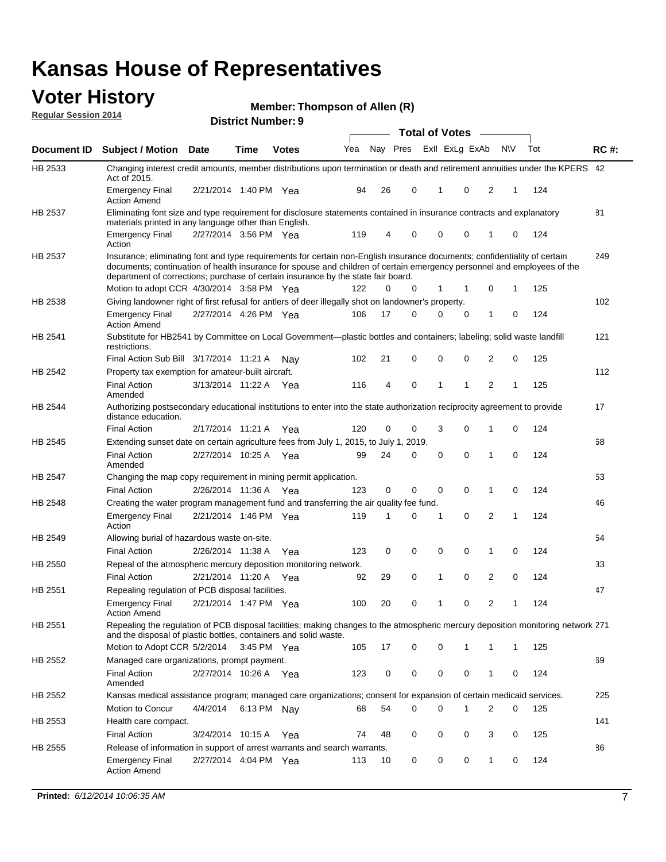#### **Voter History Regular Session 2014**

**Member: Thompson of Allen (R)** 

|                |                                                                                                                                                                                                                                                                                                                                           |                       | <b>DISTRICT MAILINGLES</b> |              |     |    |          | <b>Total of Votes</b> |              |                |                |              |     |             |
|----------------|-------------------------------------------------------------------------------------------------------------------------------------------------------------------------------------------------------------------------------------------------------------------------------------------------------------------------------------------|-----------------------|----------------------------|--------------|-----|----|----------|-----------------------|--------------|----------------|----------------|--------------|-----|-------------|
| Document ID    | <b>Subject / Motion</b>                                                                                                                                                                                                                                                                                                                   | <b>Date</b>           | Time                       | <b>Votes</b> | Yea |    | Nay Pres |                       |              | Exll ExLg ExAb | <b>NV</b>      |              | Tot | <b>RC#:</b> |
| HB 2533        | Changing interest credit amounts, member distributions upon termination or death and retirement annuities under the KPERS 42<br>Act of 2015.                                                                                                                                                                                              |                       |                            |              |     |    |          |                       |              |                |                |              |     |             |
|                | <b>Emergency Final</b><br><b>Action Amend</b>                                                                                                                                                                                                                                                                                             | 2/21/2014 1:40 PM Yea |                            |              | 94  | 26 | 0        |                       | 1            | 0              | 2              | 1            | 124 |             |
| HB 2537        | Eliminating font size and type requirement for disclosure statements contained in insurance contracts and explanatory<br>materials printed in any language other than English.                                                                                                                                                            |                       |                            |              |     |    |          |                       |              |                |                |              |     | 81          |
|                | <b>Emergency Final</b><br>Action                                                                                                                                                                                                                                                                                                          | 2/27/2014 3:56 PM Yea |                            |              | 119 | 4  | 0        |                       | $\mathbf 0$  | 0              | 1              | 0            | 124 |             |
| HB 2537        | Insurance; eliminating font and type requirements for certain non-English insurance documents; confidentiality of certain<br>documents; continuation of health insurance for spouse and children of certain emergency personnel and employees of the<br>department of corrections; purchase of certain insurance by the state fair board. |                       |                            |              |     |    |          |                       |              |                |                |              |     | 249         |
|                | Motion to adopt CCR 4/30/2014 3:58 PM Yea                                                                                                                                                                                                                                                                                                 |                       |                            |              | 122 |    | 0<br>0   |                       | 1            | $\mathbf 1$    | 0              | 1            | 125 |             |
| HB 2538        | Giving landowner right of first refusal for antlers of deer illegally shot on landowner's property.                                                                                                                                                                                                                                       |                       |                            |              |     |    |          |                       |              |                |                |              |     | 102         |
|                | <b>Emergency Final</b><br><b>Action Amend</b>                                                                                                                                                                                                                                                                                             | 2/27/2014 4:26 PM Yea |                            |              | 106 | 17 | 0        |                       | 0            | 0              | 1              | 0            | 124 |             |
| HB 2541        | Substitute for HB2541 by Committee on Local Government—plastic bottles and containers; labeling; solid waste landfill<br>restrictions.                                                                                                                                                                                                    |                       |                            |              |     |    |          |                       |              |                |                |              |     | 121         |
|                | Final Action Sub Bill 3/17/2014 11:21 A                                                                                                                                                                                                                                                                                                   |                       |                            | Nav          | 102 | 21 | 0        |                       | $\mathbf 0$  | 0              | 2              | 0            | 125 |             |
| HB 2542        | Property tax exemption for amateur-built aircraft.                                                                                                                                                                                                                                                                                        |                       |                            |              |     |    |          |                       |              |                |                |              |     | 112         |
|                | <b>Final Action</b><br>Amended                                                                                                                                                                                                                                                                                                            | 3/13/2014 11:22 A Yea |                            |              | 116 | 4  | 0        |                       | $\mathbf{1}$ | 1              | $\overline{2}$ | 1            | 125 |             |
| HB 2544        | Authorizing postsecondary educational institutions to enter into the state authorization reciprocity agreement to provide<br>distance education.                                                                                                                                                                                          |                       |                            |              |     |    |          |                       |              |                |                |              |     | 17          |
|                | <b>Final Action</b>                                                                                                                                                                                                                                                                                                                       | 2/17/2014 11:21 A Yea |                            |              | 120 |    | 0<br>0   |                       | 3            | $\Omega$       | 1              | 0            | 124 |             |
| HB 2545        | Extending sunset date on certain agriculture fees from July 1, 2015, to July 1, 2019.                                                                                                                                                                                                                                                     |                       |                            |              |     |    |          |                       |              |                |                |              |     | 68          |
|                | <b>Final Action</b><br>Amended                                                                                                                                                                                                                                                                                                            | 2/27/2014 10:25 A Yea |                            |              | 99  | 24 | 0        |                       | 0            | $\Omega$       | 1              | $\Omega$     | 124 |             |
| <b>HB 2547</b> | Changing the map copy requirement in mining permit application.                                                                                                                                                                                                                                                                           |                       |                            |              |     |    |          |                       |              |                |                |              |     | 53          |
|                | <b>Final Action</b>                                                                                                                                                                                                                                                                                                                       | 2/26/2014 11:36 A     |                            | Yea          | 123 |    | 0<br>0   |                       | 0            | 0              | 1              | 0            | 124 |             |
| HB 2548        | Creating the water program management fund and transferring the air quality fee fund.                                                                                                                                                                                                                                                     |                       |                            |              |     |    |          |                       |              |                |                |              |     | 46          |
|                | <b>Emergency Final</b><br>Action                                                                                                                                                                                                                                                                                                          | 2/21/2014 1:46 PM Yea |                            |              | 119 | 1  | 0        |                       | 1            | $\mathbf 0$    | 2              | 1            | 124 |             |
| HB 2549        | Allowing burial of hazardous waste on-site.                                                                                                                                                                                                                                                                                               |                       |                            |              |     |    |          |                       |              |                |                |              |     | 54          |
|                | <b>Final Action</b>                                                                                                                                                                                                                                                                                                                       | 2/26/2014 11:38 A     |                            | Yea          | 123 | 0  | 0        |                       | $\mathbf 0$  | 0              | 1              | 0            | 124 |             |
| HB 2550        | Repeal of the atmospheric mercury deposition monitoring network.                                                                                                                                                                                                                                                                          |                       |                            |              |     |    |          |                       |              |                |                |              |     | 33          |
|                | <b>Final Action</b>                                                                                                                                                                                                                                                                                                                       | 2/21/2014 11:20 A Yea |                            |              | 92  | 29 | 0        |                       | 1            | 0              | 2              | 0            | 124 |             |
| HB 2551        | Repealing regulation of PCB disposal facilities.                                                                                                                                                                                                                                                                                          |                       |                            |              |     |    |          |                       |              |                |                |              |     | 47          |
|                | <b>Emergency Final</b><br><b>Action Amend</b>                                                                                                                                                                                                                                                                                             | 2/21/2014 1:47 PM Yea |                            |              | 100 | 20 | 0        |                       | 1            | 0              | 2              | 1            | 124 |             |
| HB 2551        | Repealing the regulation of PCB disposal facilities; making changes to the atmospheric mercury deposition monitoring network 271<br>and the disposal of plastic bottles, containers and solid waste.                                                                                                                                      |                       |                            |              |     |    |          |                       |              |                |                |              |     |             |
|                | Motion to Adopt CCR 5/2/2014 3:45 PM Yea                                                                                                                                                                                                                                                                                                  |                       |                            |              | 105 | 17 | 0        |                       | 0            | 1              | 1              | $\mathbf{1}$ | 125 |             |
| HB 2552        | Managed care organizations, prompt payment.                                                                                                                                                                                                                                                                                               |                       |                            |              |     |    |          |                       |              |                |                |              |     | 69          |
|                | <b>Final Action</b><br>Amended                                                                                                                                                                                                                                                                                                            | 2/27/2014 10:26 A Yea |                            |              | 123 | 0  | 0        |                       | 0            | 0              | 1              | 0            | 124 |             |
| HB 2552        | Kansas medical assistance program; managed care organizations; consent for expansion of certain medicaid services.                                                                                                                                                                                                                        |                       |                            |              |     |    |          |                       |              |                |                |              |     | 225         |
|                | <b>Motion to Concur</b>                                                                                                                                                                                                                                                                                                                   | 4/4/2014              | 6:13 PM Nay                |              | 68  | 54 | 0        |                       | $\Omega$     | 1              | $\overline{2}$ | 0            | 125 |             |
| HB 2553        | Health care compact.                                                                                                                                                                                                                                                                                                                      |                       |                            |              |     |    |          |                       |              |                |                |              |     | 141         |
|                | <b>Final Action</b>                                                                                                                                                                                                                                                                                                                       | 3/24/2014 10:15 A Yea |                            |              | 74  | 48 | 0        |                       | 0            | 0              | 3              | 0            | 125 |             |
| HB 2555        | Release of information in support of arrest warrants and search warrants.                                                                                                                                                                                                                                                                 |                       |                            |              |     |    |          |                       |              |                |                |              |     | 86          |
|                | <b>Emergency Final</b><br><b>Action Amend</b>                                                                                                                                                                                                                                                                                             | 2/27/2014 4:04 PM Yea |                            |              | 113 | 10 | 0        |                       | 0            | 0              | $\mathbf{1}$   | 0            | 124 |             |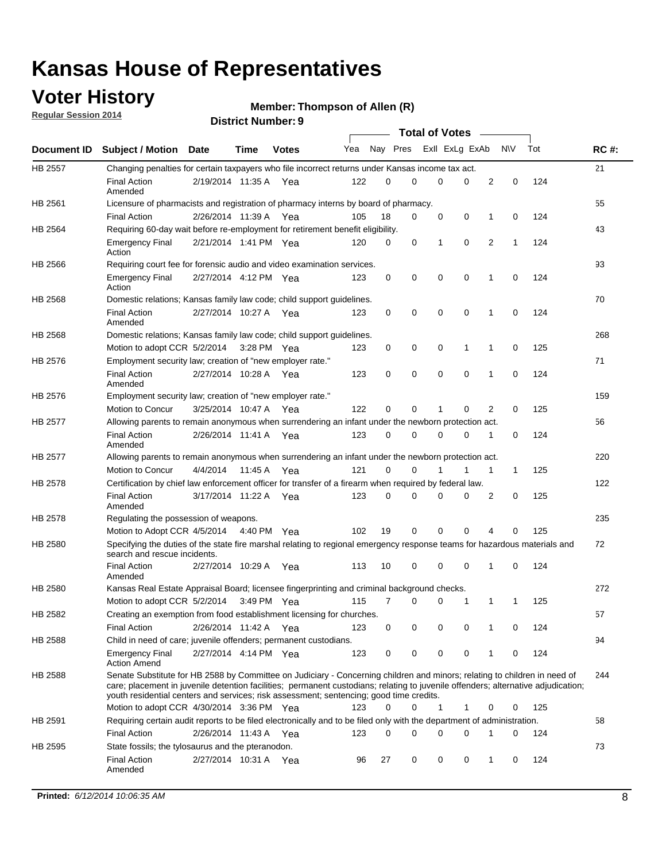## **Voter History**

**Regular Session 2014**

| <b>District Number: 9</b> |  |
|---------------------------|--|
|                           |  |

|                |                                                                                                                                                                                                                                                                                                                                                           |                       |         |              |     |          |          | <b>Total of Votes</b> |             |              |             |     |             |
|----------------|-----------------------------------------------------------------------------------------------------------------------------------------------------------------------------------------------------------------------------------------------------------------------------------------------------------------------------------------------------------|-----------------------|---------|--------------|-----|----------|----------|-----------------------|-------------|--------------|-------------|-----|-------------|
|                | Document ID Subject / Motion Date                                                                                                                                                                                                                                                                                                                         |                       | Time    | <b>Votes</b> | Yea | Nay Pres |          | Exll ExLg ExAb        |             |              | N\V         | Tot | <b>RC#:</b> |
| HB 2557        | Changing penalties for certain taxpayers who file incorrect returns under Kansas income tax act.                                                                                                                                                                                                                                                          |                       |         |              |     |          |          |                       |             |              |             |     | 21          |
|                | <b>Final Action</b><br>Amended                                                                                                                                                                                                                                                                                                                            | 2/19/2014 11:35 A     |         | Yea          | 122 | 0        | 0        | 0                     | 0           | 2            | $\mathbf 0$ | 124 |             |
| HB 2561        | Licensure of pharmacists and registration of pharmacy interns by board of pharmacy.                                                                                                                                                                                                                                                                       |                       |         |              |     |          |          |                       |             |              |             |     | 55          |
|                | <b>Final Action</b>                                                                                                                                                                                                                                                                                                                                       | 2/26/2014 11:39 A Yea |         |              | 105 | 18       | 0        | 0                     | 0           | 1            | 0           | 124 |             |
| HB 2564        | Requiring 60-day wait before re-employment for retirement benefit eligibility.                                                                                                                                                                                                                                                                            |                       |         |              |     |          |          |                       |             |              |             |     | 43          |
|                | <b>Emergency Final</b><br>Action                                                                                                                                                                                                                                                                                                                          | 2/21/2014 1:41 PM Yea |         |              | 120 | 0        | 0        | 1                     | 0           | 2            | 1           | 124 |             |
| HB 2566        | Requiring court fee for forensic audio and video examination services.                                                                                                                                                                                                                                                                                    |                       |         |              |     |          |          |                       |             |              |             |     | 93          |
|                | <b>Emergency Final</b><br>Action                                                                                                                                                                                                                                                                                                                          | 2/27/2014 4:12 PM Yea |         |              | 123 | 0        | 0        | $\mathbf 0$           | $\mathbf 0$ | $\mathbf{1}$ | 0           | 124 |             |
| HB 2568        | Domestic relations; Kansas family law code; child support guidelines.                                                                                                                                                                                                                                                                                     |                       |         |              |     |          |          |                       |             |              |             |     | 70          |
|                | <b>Final Action</b><br>Amended                                                                                                                                                                                                                                                                                                                            | 2/27/2014 10:27 A     |         | Yea          | 123 | 0        | 0        | 0                     | $\mathbf 0$ | 1            | 0           | 124 |             |
| HB 2568        | Domestic relations; Kansas family law code; child support guidelines.                                                                                                                                                                                                                                                                                     |                       |         |              |     |          |          |                       |             |              |             |     | 268         |
|                | Motion to adopt CCR 5/2/2014                                                                                                                                                                                                                                                                                                                              |                       |         | 3:28 PM Yea  | 123 | 0        | 0        | 0                     | 1           | 1            | 0           | 125 |             |
| HB 2576        | Employment security law; creation of "new employer rate."                                                                                                                                                                                                                                                                                                 |                       |         |              |     |          |          |                       |             |              |             |     | 71          |
|                | <b>Final Action</b><br>Amended                                                                                                                                                                                                                                                                                                                            | 2/27/2014 10:28 A     |         | Yea          | 123 | 0        | 0        | 0                     | $\mathbf 0$ | 1            | 0           | 124 |             |
| HB 2576        | Employment security law; creation of "new employer rate."                                                                                                                                                                                                                                                                                                 |                       |         |              |     |          |          |                       |             |              |             |     | 159         |
|                | Motion to Concur                                                                                                                                                                                                                                                                                                                                          | 3/25/2014 10:47 A     |         | Yea          | 122 | 0        | 0        | 1                     | 0           | 2            | 0           | 125 |             |
| <b>HB 2577</b> | Allowing parents to remain anonymous when surrendering an infant under the newborn protection act.                                                                                                                                                                                                                                                        |                       |         |              |     |          |          |                       |             |              |             |     | 56          |
|                | <b>Final Action</b><br>Amended                                                                                                                                                                                                                                                                                                                            | 2/26/2014 11:41 A Yea |         |              | 123 | 0        | $\Omega$ | 0                     | 0           | 1            | 0           | 124 |             |
| HB 2577        | Allowing parents to remain anonymous when surrendering an infant under the newborn protection act.                                                                                                                                                                                                                                                        |                       |         |              |     |          |          |                       |             |              |             |     | 220         |
|                | Motion to Concur                                                                                                                                                                                                                                                                                                                                          | 4/4/2014              | 11:45 A | Yea          | 121 | 0        | 0        |                       | 1           | 1            | $\mathbf 1$ | 125 |             |
| HB 2578        | Certification by chief law enforcement officer for transfer of a firearm when required by federal law.                                                                                                                                                                                                                                                    |                       |         |              |     |          |          |                       |             |              |             |     | 122         |
|                | <b>Final Action</b><br>Amended                                                                                                                                                                                                                                                                                                                            | 3/17/2014 11:22 A     |         | Yea          | 123 | 0        | 0        | $\Omega$              | $\Omega$    | 2            | 0           | 125 |             |
| HB 2578        | Regulating the possession of weapons.                                                                                                                                                                                                                                                                                                                     |                       |         |              |     |          |          |                       |             |              |             |     | 235         |
|                | Motion to Adopt CCR 4/5/2014 4:40 PM Yea                                                                                                                                                                                                                                                                                                                  |                       |         |              | 102 | 19       | 0        | 0                     | 0           | 4            | 0           | 125 |             |
| HB 2580        | Specifying the duties of the state fire marshal relating to regional emergency response teams for hazardous materials and<br>search and rescue incidents.                                                                                                                                                                                                 |                       |         |              |     |          |          |                       |             |              |             |     | 72          |
|                | <b>Final Action</b><br>Amended                                                                                                                                                                                                                                                                                                                            | 2/27/2014 10:29 A     |         | Yea          | 113 | 10       | 0        | $\mathbf 0$           | $\mathbf 0$ | 1            | 0           | 124 |             |
| HB 2580        | Kansas Real Estate Appraisal Board; licensee fingerprinting and criminal background checks.                                                                                                                                                                                                                                                               |                       |         |              |     |          |          |                       |             |              |             |     | 272         |
|                | Motion to adopt CCR 5/2/2014                                                                                                                                                                                                                                                                                                                              |                       |         | 3:49 PM Yea  | 115 | 7        | 0        | 0                     | 1           | 1            | 1           | 125 |             |
| HB 2582        | Creating an exemption from food establishment licensing for churches.                                                                                                                                                                                                                                                                                     |                       |         |              |     |          |          |                       |             |              |             |     | 57          |
|                | <b>Final Action</b>                                                                                                                                                                                                                                                                                                                                       | 2/26/2014 11:42 A Yea |         |              | 123 | 0        | 0        | 0                     | 0           |              | 0           | 124 |             |
| HB 2588        | Child in need of care; juvenile offenders; permanent custodians.                                                                                                                                                                                                                                                                                          |                       |         |              |     |          |          |                       |             |              |             |     | 94          |
|                | <b>Emergency Final</b><br><b>Action Amend</b>                                                                                                                                                                                                                                                                                                             | 2/27/2014 4:14 PM Yea |         |              | 123 | 0        | 0        | 0                     | 0           | 1            | 0           | 124 |             |
| HB 2588        | Senate Substitute for HB 2588 by Committee on Judiciary - Concerning children and minors; relating to children in need of<br>care; placement in juvenile detention facilities; permanent custodians; relating to juvenile offenders; alternative adjudication;<br>youth residential centers and services; risk assessment; sentencing; good time credits. |                       |         |              |     |          |          |                       |             |              |             |     | 244         |
|                | Motion to adopt CCR 4/30/2014 3:36 PM Yea                                                                                                                                                                                                                                                                                                                 |                       |         |              | 123 | 0        | 0        | 1                     | 1           | 0            | 0           | 125 |             |
| HB 2591        | Requiring certain audit reports to be filed electronically and to be filed only with the department of administration.                                                                                                                                                                                                                                    |                       |         |              |     |          |          |                       |             |              |             |     | 58          |
|                | <b>Final Action</b>                                                                                                                                                                                                                                                                                                                                       | 2/26/2014 11:43 A Yea |         |              | 123 | 0        | 0        | 0                     | 0           | 1            | 0           | 124 |             |
| HB 2595        | State fossils; the tylosaurus and the pteranodon.                                                                                                                                                                                                                                                                                                         |                       |         |              |     |          |          |                       |             |              |             |     | 73          |
|                | <b>Final Action</b><br>Amended                                                                                                                                                                                                                                                                                                                            | 2/27/2014 10:31 A Yea |         |              | 96  | 27       | 0        | 0                     | 0           | 1            | 0           | 124 |             |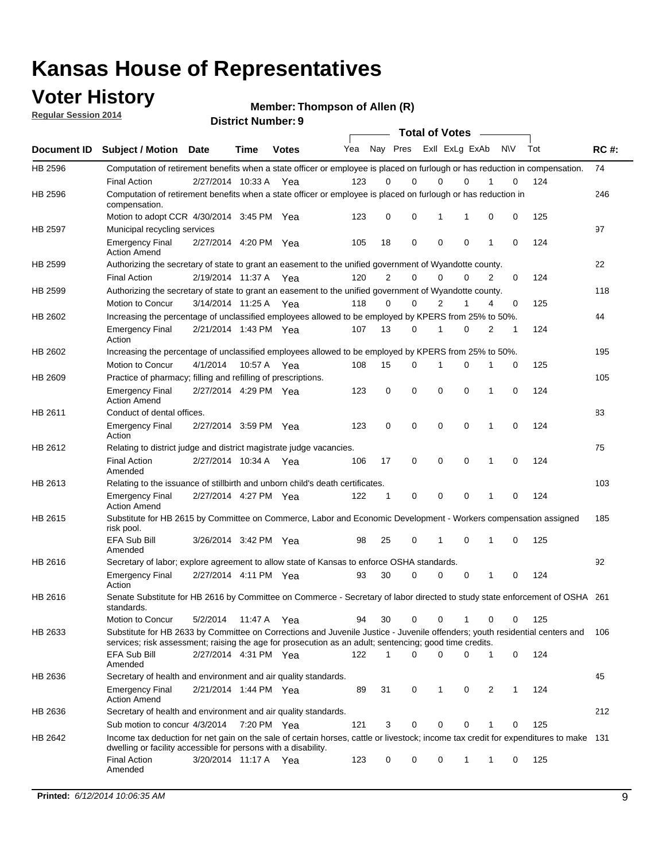### **Voter History**

**Regular Session 2014**

| <b>District Number: 9</b> |  |
|---------------------------|--|
|                           |  |

|             |                                                                                                                                                                                                                                       |                       |             |              |     |          | <b>Total of Votes</b> |                |             |             |     |     |             |
|-------------|---------------------------------------------------------------------------------------------------------------------------------------------------------------------------------------------------------------------------------------|-----------------------|-------------|--------------|-----|----------|-----------------------|----------------|-------------|-------------|-----|-----|-------------|
| Document ID | Subject / Motion Date                                                                                                                                                                                                                 |                       | <b>Time</b> | <b>Votes</b> | Yea | Nay Pres |                       | ExII ExLg ExAb |             |             | N\V | Tot | <b>RC#:</b> |
| HB 2596     | Computation of retirement benefits when a state officer or employee is placed on furlough or has reduction in compensation.<br><b>Final Action</b>                                                                                    | 2/27/2014 10:33 A     |             | Yea          | 123 | 0        | 0                     | 0              | $\Omega$    |             | 0   | 124 | 74          |
| HB 2596     | Computation of retirement benefits when a state officer or employee is placed on furlough or has reduction in<br>compensation.                                                                                                        |                       |             |              |     |          |                       |                |             |             |     |     | 246         |
|             | Motion to adopt CCR 4/30/2014 3:45 PM Yea                                                                                                                                                                                             |                       |             |              | 123 | 0        | 0                     | 1              | 1           | $\mathbf 0$ | 0   | 125 |             |
| HB 2597     | Municipal recycling services                                                                                                                                                                                                          |                       |             |              |     |          |                       |                |             |             |     |     | 97          |
|             | <b>Emergency Final</b><br><b>Action Amend</b>                                                                                                                                                                                         | 2/27/2014 4:20 PM Yea |             |              | 105 | 18       | 0                     | 0              | 0           | 1           | 0   | 124 |             |
| HB 2599     | Authorizing the secretary of state to grant an easement to the unified government of Wyandotte county.                                                                                                                                |                       |             |              |     |          |                       |                |             |             |     |     | 22          |
|             | <b>Final Action</b>                                                                                                                                                                                                                   | 2/19/2014 11:37 A Yea |             |              | 120 | 2        | 0                     | 0              | $\Omega$    | 2           | 0   | 124 |             |
| HB 2599     | Authorizing the secretary of state to grant an easement to the unified government of Wyandotte county.<br>Motion to Concur                                                                                                            | 3/14/2014 11:25 A Yea |             |              | 118 | 0        | 0                     | 2              | 1           | 4           | 0   | 125 | 118         |
| HB 2602     |                                                                                                                                                                                                                                       |                       |             |              |     |          |                       |                |             |             |     |     | 44          |
|             | Increasing the percentage of unclassified employees allowed to be employed by KPERS from 25% to 50%.<br><b>Emergency Final</b><br>Action                                                                                              | 2/21/2014 1:43 PM Yea |             |              | 107 | 13       | 0                     | 1              | 0           | 2           | 1   | 124 |             |
| HB 2602     | Increasing the percentage of unclassified employees allowed to be employed by KPERS from 25% to 50%.                                                                                                                                  |                       |             |              |     |          |                       |                |             |             |     |     | 195         |
|             | <b>Motion to Concur</b>                                                                                                                                                                                                               | 4/1/2014              | 10:57 A     | Yea          | 108 | 15       | 0                     | 1              | $\mathbf 0$ | 1           | 0   | 125 |             |
| HB 2609     | Practice of pharmacy; filling and refilling of prescriptions.                                                                                                                                                                         |                       |             |              |     |          |                       |                |             |             |     |     | 105         |
|             | <b>Emergency Final</b><br><b>Action Amend</b>                                                                                                                                                                                         | 2/27/2014 4:29 PM Yea |             |              | 123 | 0        | $\mathbf 0$           | 0              | 0           | 1           | 0   | 124 |             |
| HB 2611     | Conduct of dental offices.                                                                                                                                                                                                            |                       |             |              |     |          |                       |                |             |             |     |     | 83          |
|             | <b>Emergency Final</b><br>Action                                                                                                                                                                                                      | 2/27/2014 3:59 PM Yea |             |              | 123 | 0        | $\mathbf 0$           | 0              | $\Omega$    | 1           | 0   | 124 |             |
| HB 2612     | Relating to district judge and district magistrate judge vacancies.                                                                                                                                                                   |                       |             |              |     |          |                       |                |             |             |     |     | 75          |
|             | <b>Final Action</b><br>Amended                                                                                                                                                                                                        | 2/27/2014 10:34 A Yea |             |              | 106 | 17       | 0                     | 0              | 0           | 1           | 0   | 124 |             |
| HB 2613     | Relating to the issuance of stillbirth and unborn child's death certificates.                                                                                                                                                         |                       |             |              |     |          |                       |                |             |             |     |     | 103         |
|             | <b>Emergency Final</b><br><b>Action Amend</b>                                                                                                                                                                                         | 2/27/2014 4:27 PM Yea |             |              | 122 | 1        | 0                     | 0              | $\Omega$    | 1           | 0   | 124 |             |
| HB 2615     | Substitute for HB 2615 by Committee on Commerce, Labor and Economic Development - Workers compensation assigned<br>risk pool.                                                                                                         |                       |             |              |     |          |                       |                |             |             |     |     | 185         |
|             | <b>EFA Sub Bill</b><br>Amended                                                                                                                                                                                                        | 3/26/2014 3:42 PM Yea |             |              | 98  | 25       | 0                     | 1              | 0           | 1           | 0   | 125 |             |
| HB 2616     | Secretary of labor; explore agreement to allow state of Kansas to enforce OSHA standards.                                                                                                                                             |                       |             |              |     |          |                       |                |             |             |     |     | 92          |
|             | <b>Emergency Final</b><br>Action                                                                                                                                                                                                      | 2/27/2014 4:11 PM Yea |             |              | 93  | 30       | 0                     | 0              | 0           | 1           | 0   | 124 |             |
| HB 2616     | Senate Substitute for HB 2616 by Committee on Commerce - Secretary of labor directed to study state enforcement of OSHA 261<br>standards.                                                                                             |                       |             |              |     |          |                       |                |             |             |     |     |             |
|             | Motion to Concur                                                                                                                                                                                                                      | 5/2/2014              | 11:47 A Yea |              | 94  | 30       | 0                     | 0              | 1           | 0           | 0   | 125 |             |
| HB 2633     | Substitute for HB 2633 by Committee on Corrections and Juvenile Justice - Juvenile offenders; youth residential centers and<br>services; risk assessment; raising the age for prosecution as an adult; sentencing; good time credits. |                       |             |              |     |          |                       |                |             |             |     |     | 106         |
|             | <b>EFA Sub Bill</b><br>Amended                                                                                                                                                                                                        | 2/27/2014 4:31 PM Yea |             |              | 122 | 1        | 0                     | 0              | 0           | 1           | 0   | 124 |             |
| HB 2636     | Secretary of health and environment and air quality standards.                                                                                                                                                                        |                       |             |              |     |          |                       |                |             |             |     |     | 45          |
|             | <b>Emergency Final</b><br><b>Action Amend</b>                                                                                                                                                                                         | 2/21/2014 1:44 PM Yea |             |              | 89  | 31       | 0                     | 1              | 0           | 2           | 1   | 124 |             |
| HB 2636     | Secretary of health and environment and air quality standards.                                                                                                                                                                        |                       |             |              |     |          |                       |                |             |             |     |     | 212         |
|             | Sub motion to concur 4/3/2014                                                                                                                                                                                                         |                       | 7:20 PM Yea |              | 121 | 3        | 0                     | 0              | 0           |             | 0   | 125 |             |
| HB 2642     | Income tax deduction for net gain on the sale of certain horses, cattle or livestock; income tax credit for expenditures to make 131<br>dwelling or facility accessible for persons with a disability.<br><b>Final Action</b>         |                       |             |              |     | 0        | 0                     | 0              | 1           |             | 0   |     |             |
|             | Amended                                                                                                                                                                                                                               | 3/20/2014 11:17 A Yea |             |              | 123 |          |                       |                |             | 1           |     | 125 |             |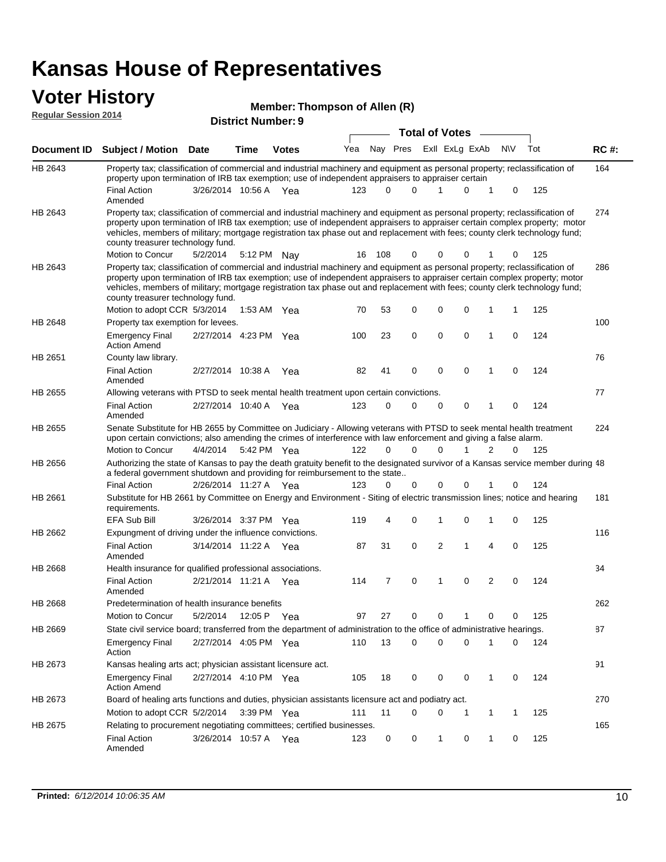# **Voter History Member: Regular Session 2014**

|                             | ULUI THULUI Y                                                                                                                                                                                                                                                                                                                                                                                                                 |                       |      |                           | Member: Thompson of Allen (R) |             |             |                       |                |                |              |             |     |       |
|-----------------------------|-------------------------------------------------------------------------------------------------------------------------------------------------------------------------------------------------------------------------------------------------------------------------------------------------------------------------------------------------------------------------------------------------------------------------------|-----------------------|------|---------------------------|-------------------------------|-------------|-------------|-----------------------|----------------|----------------|--------------|-------------|-----|-------|
| <b>Regular Session 2014</b> |                                                                                                                                                                                                                                                                                                                                                                                                                               |                       |      | <b>District Number: 9</b> |                               |             |             |                       |                |                |              |             |     |       |
|                             |                                                                                                                                                                                                                                                                                                                                                                                                                               |                       |      |                           |                               |             |             | <b>Total of Votes</b> |                |                |              |             |     |       |
| Document ID                 | <b>Subject / Motion Date</b>                                                                                                                                                                                                                                                                                                                                                                                                  |                       | Time | <b>Votes</b>              | Yea                           |             | Nay Pres    |                       |                | Exll ExLg ExAb |              | <b>NV</b>   | Tot | RC #: |
| HB 2643                     | Property tax; classification of commercial and industrial machinery and equipment as personal property; reclassification of<br>property upon termination of IRB tax exemption; use of independent appraisers to appraiser certain                                                                                                                                                                                             |                       |      |                           |                               |             |             |                       |                |                |              |             |     | 164   |
|                             | <b>Final Action</b><br>Amended                                                                                                                                                                                                                                                                                                                                                                                                | 3/26/2014 10:56 A Yea |      |                           | 123                           | $\Omega$    | $\Omega$    |                       | 1              | 0              | 1            | 0           | 125 |       |
| HB 2643                     | Property tax; classification of commercial and industrial machinery and equipment as personal property; reclassification of<br>property upon termination of IRB tax exemption; use of independent appraisers to appraiser certain complex property; motor<br>vehicles, members of military; mortgage registration tax phase out and replacement with fees; county clerk technology fund;<br>county treasurer technology fund. |                       |      |                           |                               |             |             |                       |                |                |              |             |     | 274   |
|                             | Motion to Concur                                                                                                                                                                                                                                                                                                                                                                                                              | 5/2/2014              |      | 5:12 PM Nay               | 16                            | 108         | 0           |                       | 0              | 0              |              | 0           | 125 |       |
| HB 2643                     | Property tax; classification of commercial and industrial machinery and equipment as personal property; reclassification of<br>property upon termination of IRB tax exemption; use of independent appraisers to appraiser certain complex property; motor<br>vehicles, members of military; mortgage registration tax phase out and replacement with fees; county clerk technology fund;<br>county treasurer technology fund. |                       |      |                           |                               |             |             |                       |                |                |              |             |     | 286   |
|                             | Motion to adopt CCR 5/3/2014                                                                                                                                                                                                                                                                                                                                                                                                  |                       |      | 1:53 AM Yea               | 70                            | 53          | 0           |                       | 0              | 0              | 1            | 1           | 125 |       |
| HB 2648                     | Property tax exemption for levees.<br><b>Emergency Final</b>                                                                                                                                                                                                                                                                                                                                                                  | 2/27/2014 4:23 PM Yea |      |                           | 100                           | 23          | 0           |                       | 0              | 0              | 1            | 0           | 124 | 100   |
|                             | <b>Action Amend</b>                                                                                                                                                                                                                                                                                                                                                                                                           |                       |      |                           |                               |             |             |                       |                |                |              |             |     |       |
| HB 2651                     | County law library.<br><b>Final Action</b><br>Amended                                                                                                                                                                                                                                                                                                                                                                         | 2/27/2014 10:38 A     |      | Yea                       | 82                            | 41          | 0           |                       | 0              | 0              | 1            | $\mathbf 0$ | 124 | 76    |
| HB 2655                     | Allowing veterans with PTSD to seek mental health treatment upon certain convictions.                                                                                                                                                                                                                                                                                                                                         |                       |      |                           |                               |             |             |                       |                |                |              |             |     | 77    |
|                             | <b>Final Action</b><br>Amended                                                                                                                                                                                                                                                                                                                                                                                                | 2/27/2014 10:40 A Yea |      |                           | 123                           | $\mathbf 0$ | 0           |                       | 0              | $\mathbf 0$    | 1            | $\mathbf 0$ | 124 |       |
| HB 2655                     | Senate Substitute for HB 2655 by Committee on Judiciary - Allowing veterans with PTSD to seek mental health treatment<br>upon certain convictions; also amending the crimes of interference with law enforcement and giving a false alarm.                                                                                                                                                                                    |                       |      |                           |                               |             |             |                       |                |                |              |             |     | 224   |
|                             | Motion to Concur                                                                                                                                                                                                                                                                                                                                                                                                              | 4/4/2014              |      | 5:42 PM Yea               | 122                           | $\Omega$    | $\Omega$    |                       | 0              |                | 2            | $\Omega$    | 125 |       |
| HB 2656                     | Authorizing the state of Kansas to pay the death gratuity benefit to the designated survivor of a Kansas service member during 48<br>a federal government shutdown and providing for reimbursement to the state                                                                                                                                                                                                               |                       |      |                           |                               |             |             |                       |                |                |              |             |     |       |
|                             | <b>Final Action</b>                                                                                                                                                                                                                                                                                                                                                                                                           | 2/26/2014 11:27 A Yea |      |                           | 123                           | 0           | 0           |                       | 0              | 0              | 1            | 0           | 124 |       |
| HB 2661                     | Substitute for HB 2661 by Committee on Energy and Environment - Siting of electric transmission lines; notice and hearing<br>requirements.                                                                                                                                                                                                                                                                                    |                       |      |                           |                               |             |             |                       |                |                |              |             |     | 181   |
|                             | <b>EFA Sub Bill</b>                                                                                                                                                                                                                                                                                                                                                                                                           | 3/26/2014 3:37 PM Yea |      |                           | 119                           | 4           | 0           |                       | 1              | 0              | 1            | 0           | 125 |       |
| HB 2662                     | Expungment of driving under the influence convictions.<br><b>Final Action</b>                                                                                                                                                                                                                                                                                                                                                 | 3/14/2014 11:22 A Yea |      |                           | 87                            | 31          | $\mathbf 0$ |                       | $\overline{2}$ | 1              | 4            | $\mathbf 0$ | 125 | 116   |
|                             | Amended                                                                                                                                                                                                                                                                                                                                                                                                                       |                       |      |                           |                               |             |             |                       |                |                |              |             |     |       |
| <b>HB 2668</b>              | Health insurance for qualified professional associations.<br><b>Final Action</b><br>Amended                                                                                                                                                                                                                                                                                                                                   | 2/21/2014 11:21 A Yea |      |                           | 114                           | 7           | 0           |                       | 1              | 0              | 2            | 0           | 124 | 34    |
| HB 2668                     | Predetermination of health insurance benefits                                                                                                                                                                                                                                                                                                                                                                                 |                       |      |                           |                               |             |             |                       |                |                |              |             |     | 262   |
|                             | Motion to Concur                                                                                                                                                                                                                                                                                                                                                                                                              | 5/2/2014              |      | 12:05 P Yea               | 97                            | 27          | 0           |                       | 0              | 1              | 0            | 0           | 125 |       |
| HB 2669                     | State civil service board; transferred from the department of administration to the office of administrative hearings.                                                                                                                                                                                                                                                                                                        |                       |      |                           |                               |             |             |                       |                |                |              |             |     | 87    |
|                             | <b>Emergency Final</b><br>Action                                                                                                                                                                                                                                                                                                                                                                                              | 2/27/2014 4:05 PM Yea |      |                           | 110                           | 13          | 0           |                       | 0              | 0              | 1            | 0           | 124 |       |
| HB 2673                     | Kansas healing arts act; physician assistant licensure act.                                                                                                                                                                                                                                                                                                                                                                   |                       |      |                           |                               |             |             |                       |                |                |              |             |     | 91    |
|                             | <b>Emergency Final</b><br><b>Action Amend</b>                                                                                                                                                                                                                                                                                                                                                                                 | 2/27/2014 4:10 PM Yea |      |                           | 105                           | 18          | 0           |                       | 0              | 0              | $\mathbf{1}$ | 0           | 124 |       |
| HB 2673                     | Board of healing arts functions and duties, physician assistants licensure act and podiatry act.                                                                                                                                                                                                                                                                                                                              |                       |      |                           |                               |             |             |                       |                |                |              |             |     | 270   |
|                             | Motion to adopt CCR 5/2/2014                                                                                                                                                                                                                                                                                                                                                                                                  |                       |      | $3:39$ PM Yea             | 111                           | 11          | 0           |                       | 0              | 1              | $\mathbf{1}$ | 1           | 125 |       |
| HB 2675                     | Relating to procurement negotiating committees; certified businesses.                                                                                                                                                                                                                                                                                                                                                         |                       |      |                           |                               |             |             |                       |                |                |              |             |     | 165   |
|                             | <b>Final Action</b><br>Amended                                                                                                                                                                                                                                                                                                                                                                                                | 3/26/2014 10:57 A Yea |      |                           | 123                           | 0           | 0           |                       | 1              | 0              | $\mathbf{1}$ | 0           | 125 |       |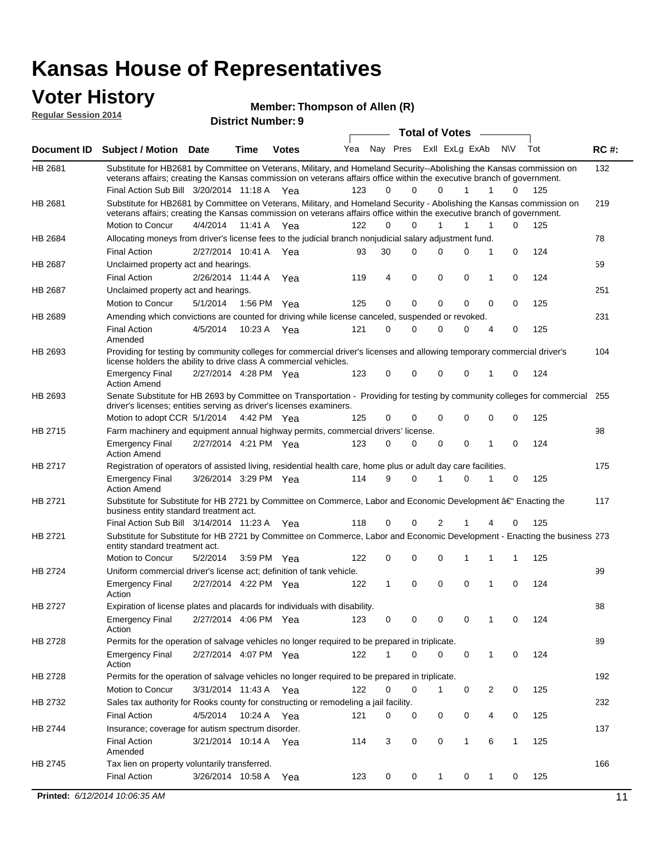#### **Voter History Regular Session 2014**

**Member: Thompson of Allen (R)** 

| noguidi ocoololi 4017 |                                                                                                                                                                                                                                                 |                       |             | <b>District Number: 9</b> |     |          |                         |   |                       |              |              |   |     |             |
|-----------------------|-------------------------------------------------------------------------------------------------------------------------------------------------------------------------------------------------------------------------------------------------|-----------------------|-------------|---------------------------|-----|----------|-------------------------|---|-----------------------|--------------|--------------|---|-----|-------------|
|                       |                                                                                                                                                                                                                                                 |                       |             |                           |     |          |                         |   | <b>Total of Votes</b> |              |              |   |     |             |
| <b>Document ID</b>    | <b>Subject / Motion Date</b>                                                                                                                                                                                                                    |                       | <b>Time</b> | <b>Votes</b>              | Yea |          | Nay Pres ExII ExLg ExAb |   |                       |              | <b>N\V</b>   |   | Tot | <b>RC#:</b> |
| HB 2681               | Substitute for HB2681 by Committee on Veterans, Military, and Homeland Security--Abolishing the Kansas commission on<br>veterans affairs; creating the Kansas commission on veterans affairs office within the executive branch of government.  |                       |             |                           |     |          |                         |   |                       |              |              |   |     | 132         |
|                       | Final Action Sub Bill 3/20/2014 11:18 A Yea                                                                                                                                                                                                     |                       |             |                           | 123 | $\Omega$ | $\Omega$                |   | 0                     | 1            | 1            | 0 | 125 |             |
| HB 2681               | Substitute for HB2681 by Committee on Veterans, Military, and Homeland Security - Abolishing the Kansas commission on<br>veterans affairs; creating the Kansas commission on veterans affairs office within the executive branch of government. |                       |             |                           |     |          |                         |   |                       |              |              |   |     | 219         |
|                       | Motion to Concur                                                                                                                                                                                                                                | 4/4/2014              | 11:41 A     | Yea                       | 122 | $\Omega$ | $\Omega$                |   | 1                     | 1            | 1            | 0 | 125 |             |
| HB 2684               | Allocating moneys from driver's license fees to the judicial branch nonjudicial salary adjustment fund.                                                                                                                                         |                       |             |                           |     |          |                         |   |                       |              |              |   |     | 78          |
|                       | <b>Final Action</b>                                                                                                                                                                                                                             | 2/27/2014 10:41 A     |             | Yea                       | 93  | 30       | $\Omega$                |   | 0                     | $\Omega$     | 1            | 0 | 124 |             |
| HB 2687               | Unclaimed property act and hearings.                                                                                                                                                                                                            |                       |             |                           |     |          |                         |   |                       |              |              |   |     | 59          |
|                       | <b>Final Action</b>                                                                                                                                                                                                                             | 2/26/2014 11:44 A     |             | Yea                       | 119 | 4        | $\mathbf 0$             |   | $\mathbf 0$           | $\mathbf 0$  | 1            | 0 | 124 |             |
| HB 2687               | Unclaimed property act and hearings.                                                                                                                                                                                                            |                       |             |                           |     |          |                         |   |                       |              |              |   |     | 251         |
|                       | Motion to Concur                                                                                                                                                                                                                                | 5/1/2014              |             | 1:56 PM Yea               | 125 | 0        | $\mathbf 0$             |   | $\mathbf 0$           | $\mathbf 0$  | 0            | 0 | 125 |             |
| HB 2689               | Amending which convictions are counted for driving while license canceled, suspended or revoked.                                                                                                                                                |                       |             |                           |     |          |                         |   |                       |              |              |   |     | 231         |
|                       | <b>Final Action</b><br>Amended                                                                                                                                                                                                                  | 4/5/2014              | 10:23 A     | Yea                       | 121 | 0        | 0                       |   | $\Omega$              | $\Omega$     | 4            | 0 | 125 |             |
| HB 2693               | Providing for testing by community colleges for commercial driver's licenses and allowing temporary commercial driver's<br>license holders the ability to drive class A commercial vehicles.                                                    |                       |             |                           |     |          |                         |   |                       |              |              |   |     | 104         |
|                       | <b>Emergency Final</b><br><b>Action Amend</b>                                                                                                                                                                                                   | 2/27/2014 4:28 PM Yea |             |                           | 123 | 0        | 0                       |   | $\mathbf 0$           | $\Omega$     | 1            | 0 | 124 |             |
| HB 2693               | Senate Substitute for HB 2693 by Committee on Transportation - Providing for testing by community colleges for commercial 255<br>driver's licenses; entities serving as driver's licenses examiners.                                            |                       |             |                           |     |          |                         |   |                       |              |              |   |     |             |
|                       | Motion to adopt CCR 5/1/2014                                                                                                                                                                                                                    |                       |             | 4:42 PM Yea               | 125 | 0        | 0                       |   | $\mathbf 0$           | $\Omega$     | 0            | 0 | 125 |             |
| HB 2715               | Farm machinery and equipment annual highway permits, commercial drivers' license.                                                                                                                                                               |                       |             |                           |     |          |                         |   |                       |              |              |   |     | 98          |
|                       | <b>Emergency Final</b><br><b>Action Amend</b>                                                                                                                                                                                                   | 2/27/2014 4:21 PM Yea |             |                           | 123 | 0        | $\mathbf 0$             |   | 0                     | 0            | 1            | 0 | 124 |             |
| HB 2717               | Registration of operators of assisted living, residential health care, home plus or adult day care facilities.                                                                                                                                  |                       |             |                           |     |          |                         |   |                       |              |              |   |     | 175         |
|                       | <b>Emergency Final</b><br><b>Action Amend</b>                                                                                                                                                                                                   | 3/26/2014 3:29 PM Yea |             |                           | 114 | 9        | $\Omega$                | 1 |                       | 0            | 1            | 0 | 125 |             |
| HB 2721               | Substitute for Substitute for HB 2721 by Committee on Commerce, Labor and Economic Development †Enacting the<br>business entity standard treatment act.                                                                                         |                       |             |                           |     |          |                         |   |                       |              |              |   |     | 117         |
|                       | Final Action Sub Bill 3/14/2014 11:23 A Yea                                                                                                                                                                                                     |                       |             |                           | 118 | 0        | 0                       |   | 2                     |              |              | 0 | 125 |             |
| HB 2721               | Substitute for Substitute for HB 2721 by Committee on Commerce, Labor and Economic Development - Enacting the business 273<br>entity standard treatment act.                                                                                    |                       |             |                           |     |          |                         |   |                       |              |              |   |     |             |
|                       | Motion to Concur                                                                                                                                                                                                                                | 5/2/2014              |             | 3:59 PM Yea               | 122 | 0        | 0                       |   | $\mathbf 0$           |              |              | 1 | 125 |             |
| HB 2724               | Uniform commercial driver's license act; definition of tank vehicle.                                                                                                                                                                            |                       |             |                           |     |          |                         |   |                       |              |              |   |     | 99          |
|                       | <b>Emergency Final</b><br>Action                                                                                                                                                                                                                | 2/27/2014 4:22 PM Yea |             |                           | 122 | 1        | 0                       |   | 0                     | $\mathbf 0$  | 1            | 0 | 124 |             |
| HB 2727               | Expiration of license plates and placards for individuals with disability.                                                                                                                                                                      |                       |             |                           |     |          |                         |   |                       |              |              |   |     | 88          |
|                       | <b>Emergency Final</b><br>Action                                                                                                                                                                                                                | 2/27/2014 4:06 PM Yea |             |                           | 123 | 0        | 0                       |   | 0                     | 0            | 1            | 0 | 124 |             |
| HB 2728               | Permits for the operation of salvage vehicles no longer required to be prepared in triplicate.                                                                                                                                                  |                       |             |                           |     |          |                         |   |                       |              |              |   |     | 89          |
|                       | <b>Emergency Final</b><br>Action                                                                                                                                                                                                                | 2/27/2014 4:07 PM Yea |             |                           | 122 | 1        | 0                       |   | 0                     | $\mathbf 0$  | $\mathbf{1}$ | 0 | 124 |             |
| HB 2728               | Permits for the operation of salvage vehicles no longer required to be prepared in triplicate.                                                                                                                                                  |                       |             |                           |     |          |                         |   |                       |              |              |   |     | 192         |
|                       | Motion to Concur                                                                                                                                                                                                                                | 3/31/2014 11:43 A Yea |             |                           | 122 | 0        | 0                       |   | 1                     | 0            | 2            | 0 | 125 |             |
| HB 2732               | Sales tax authority for Rooks county for constructing or remodeling a jail facility.                                                                                                                                                            |                       |             |                           |     |          |                         |   |                       |              |              |   |     | 232         |
|                       | <b>Final Action</b>                                                                                                                                                                                                                             | 4/5/2014              |             | 10:24 A Yea               | 121 | 0        | 0                       |   | 0                     | 0            | 4            | 0 | 125 |             |
| HB 2744               | Insurance; coverage for autism spectrum disorder.                                                                                                                                                                                               |                       |             |                           |     |          |                         |   |                       |              |              |   |     | 137         |
|                       | <b>Final Action</b><br>Amended                                                                                                                                                                                                                  | 3/21/2014 10:14 A Yea |             |                           | 114 | 3        | 0                       |   | 0                     | $\mathbf{1}$ | 6            | 1 | 125 |             |
| HB 2745               | Tax lien on property voluntarily transferred.                                                                                                                                                                                                   |                       |             |                           |     |          |                         |   |                       |              |              |   |     | 166         |
|                       | <b>Final Action</b>                                                                                                                                                                                                                             | 3/26/2014 10:58 A     |             | Yea                       | 123 | 0        | 0                       |   | 1                     | 0            | 1            | 0 | 125 |             |

**Printed:** *6/12/2014 10:06:35 AM* 11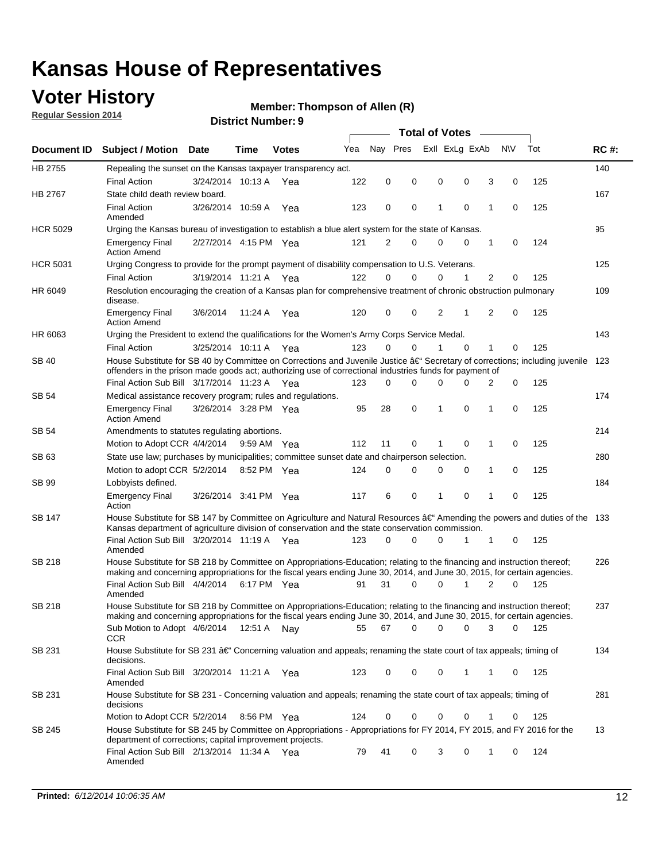## **Voter History**

**Regular Session 2014**

#### **Member: Thompson of Allen (R)**

|                 | <b>Total of Votes</b>                                                                                                                                                                                                                                |                       |             |              |     |          |             |   |  |                             |             |       |             |
|-----------------|------------------------------------------------------------------------------------------------------------------------------------------------------------------------------------------------------------------------------------------------------|-----------------------|-------------|--------------|-----|----------|-------------|---|--|-----------------------------|-------------|-------|-------------|
|                 | Document ID Subject / Motion Date                                                                                                                                                                                                                    |                       | Time        | <b>Votes</b> | Yea | Nay Pres |             |   |  | Exll ExLg ExAb              | N\V         | Tot   | <b>RC#:</b> |
| HB 2755         | Repealing the sunset on the Kansas taxpayer transparency act.                                                                                                                                                                                        |                       |             |              |     |          |             |   |  |                             |             |       | 140         |
|                 | <b>Final Action</b>                                                                                                                                                                                                                                  | 3/24/2014 10:13 A     |             | Yea          | 122 | 0        | 0           | 0 |  | 0<br>3                      | 0           | 125   |             |
| HB 2767         | State child death review board.                                                                                                                                                                                                                      |                       |             |              |     |          |             |   |  |                             |             |       | 167         |
|                 | <b>Final Action</b><br>Amended                                                                                                                                                                                                                       | 3/26/2014 10:59 A     |             | Yea          | 123 | 0        | 0           | 1 |  | $\mathbf 0$<br>1            | 0           | 125   |             |
| <b>HCR 5029</b> | Urging the Kansas bureau of investigation to establish a blue alert system for the state of Kansas.                                                                                                                                                  |                       |             |              |     |          |             |   |  |                             |             |       | 95          |
|                 | <b>Emergency Final</b><br><b>Action Amend</b>                                                                                                                                                                                                        | 2/27/2014 4:15 PM Yea |             |              | 121 | 2        | 0           | 0 |  | 0<br>1                      | 0           | 124   |             |
| <b>HCR 5031</b> | Urging Congress to provide for the prompt payment of disability compensation to U.S. Veterans.                                                                                                                                                       |                       |             |              |     |          |             |   |  |                             |             |       | 125         |
|                 | <b>Final Action</b>                                                                                                                                                                                                                                  | 3/19/2014 11:21 A Yea |             |              | 122 | $\Omega$ | $\Omega$    | 0 |  | $\overline{2}$<br>1         | 0           | 125   |             |
| HR 6049         | Resolution encouraging the creation of a Kansas plan for comprehensive treatment of chronic obstruction pulmonary<br>disease.                                                                                                                        |                       |             |              |     |          |             |   |  |                             |             |       | 109         |
|                 | <b>Emergency Final</b><br><b>Action Amend</b>                                                                                                                                                                                                        | 3/6/2014              | 11:24 A     | Yea          | 120 | 0        | 0           | 2 |  | $\overline{2}$<br>1         | $\mathbf 0$ | 125   |             |
| HR 6063         | Urging the President to extend the qualifications for the Women's Army Corps Service Medal.                                                                                                                                                          |                       |             |              |     |          |             |   |  |                             |             |       | 143         |
|                 | <b>Final Action</b>                                                                                                                                                                                                                                  | 3/25/2014 10:11 A Yea |             |              | 123 | $\Omega$ | $\Omega$    | 1 |  | $\Omega$<br>1               | 0           | 125   |             |
| SB 40           | House Substitute for SB 40 by Committee on Corrections and Juvenile Justice †Secretary of corrections; including juvenile<br>offenders in the prison made goods act; authorizing use of correctional industries funds for payment of                 |                       |             |              |     |          |             |   |  |                             |             |       | 123         |
|                 | Final Action Sub Bill 3/17/2014 11:23 A Yea                                                                                                                                                                                                          |                       |             |              | 123 | 0        | 0           | 0 |  | <sup>0</sup><br>2           | 0           | 125   |             |
| SB 54           | Medical assistance recovery program; rules and regulations.                                                                                                                                                                                          |                       |             |              |     |          |             |   |  |                             |             |       | 174         |
|                 | <b>Emergency Final</b><br><b>Action Amend</b>                                                                                                                                                                                                        | 3/26/2014 3:28 PM Yea |             |              | 95  | 28       | $\mathbf 0$ | 1 |  | $\mathbf 0$<br>1            | 0           | 125   |             |
| SB 54           | Amendments to statutes regulating abortions.                                                                                                                                                                                                         |                       |             |              |     |          |             |   |  |                             |             |       | 214         |
|                 | Motion to Adopt CCR 4/4/2014 9:59 AM Yea                                                                                                                                                                                                             |                       |             |              | 112 | 11       | 0           |   |  | $\mathbf 0$<br>1            | 0           | 125   |             |
| SB 63           | State use law; purchases by municipalities; committee sunset date and chairperson selection.                                                                                                                                                         |                       |             |              |     |          |             |   |  |                             |             |       | 280         |
|                 | Motion to adopt CCR 5/2/2014                                                                                                                                                                                                                         |                       | 8:52 PM Yea |              | 124 | 0        | 0           | 0 |  | 1<br>0                      | 0           | 125   |             |
| SB 99           | Lobbyists defined.                                                                                                                                                                                                                                   |                       |             |              |     |          |             |   |  |                             |             |       | 184         |
|                 | <b>Emergency Final</b><br>Action                                                                                                                                                                                                                     | 3/26/2014 3:41 PM Yea |             |              | 117 | 6        | 0           | 1 |  | $\mathbf 0$<br>$\mathbf{1}$ | 0           | 125   |             |
| SB 147          | House Substitute for SB 147 by Committee on Agriculture and Natural Resources †Amending the powers and duties of the 133<br>Kansas department of agriculture division of conservation and the state conservation commission.                         |                       |             |              |     |          |             |   |  |                             |             |       |             |
|                 | Final Action Sub Bill 3/20/2014 11:19 A Yea<br>Amended                                                                                                                                                                                               |                       |             |              | 123 | 0        | $\Omega$    | 0 |  | 1<br>1                      | 0           | 125   |             |
| SB 218          | House Substitute for SB 218 by Committee on Appropriations-Education; relating to the financing and instruction thereof;<br>making and concerning appropriations for the fiscal years ending June 30, 2014, and June 30, 2015, for certain agencies. |                       |             |              |     |          |             |   |  |                             |             |       | 226         |
|                 | Final Action Sub Bill 4/4/2014<br>Amended                                                                                                                                                                                                            |                       | 6:17 PM Yea |              | 91  | 31       | $\Omega$    | 0 |  | 1<br>$\overline{2}$         | 0           | 125   |             |
| SB 218          | House Substitute for SB 218 by Committee on Appropriations-Education; relating to the financing and instruction thereof;                                                                                                                             |                       |             |              |     |          |             |   |  |                             |             |       | 237         |
|                 | making and concerning appropriations for the fiscal years ending June 30, 2014, and June 30, 2015, for certain agencies.<br>Sub Motion to Adopt 4/6/2014 12:51 A Nay<br>CCR                                                                          |                       |             |              | 55  | 67       | 0           | 0 |  | 0<br>3                      | 0           | - 125 |             |
| SB 231          | House Substitute for SB 231 †Concerning valuation and appeals; renaming the state court of tax appeals; timing of<br>decisions.                                                                                                                      |                       |             |              |     |          |             |   |  |                             |             |       | 134         |
|                 | Final Action Sub Bill 3/20/2014 11:21 A Yea<br>Amended                                                                                                                                                                                               |                       |             |              | 123 | 0        | 0           | 0 |  | 1<br>1                      | 0           | 125   |             |
| SB 231          | House Substitute for SB 231 - Concerning valuation and appeals; renaming the state court of tax appeals; timing of<br>decisions                                                                                                                      |                       |             |              |     |          |             |   |  |                             |             |       | 281         |
|                 | Motion to Adopt CCR 5/2/2014                                                                                                                                                                                                                         |                       | 8:56 PM Yea |              | 124 | 0        | 0           | 0 |  | 0<br>1                      | 0           | 125   |             |
| SB 245          | House Substitute for SB 245 by Committee on Appropriations - Appropriations for FY 2014, FY 2015, and FY 2016 for the<br>department of corrections; capital improvement projects.                                                                    |                       |             |              |     |          |             |   |  |                             |             |       | 13          |
|                 | Final Action Sub Bill 2/13/2014 11:34 A Yea<br>Amended                                                                                                                                                                                               |                       |             |              | 79  | 41       | 0           | 3 |  | 0<br>1                      | 0           | 124   |             |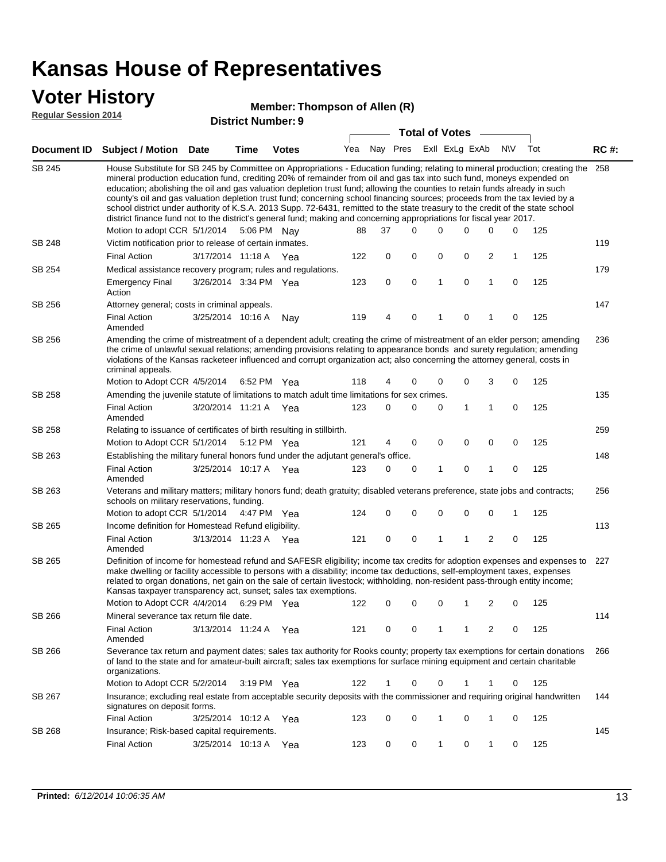### **Voter History**

**Regular Session 2014**

| noguiai ocoolori zu in |                                                                                                                                                                                                                                                                                                                                                                                                                                                                                                                                                                                                                                                                                                                                                                                                                   | <b>District Number: 9</b> |      |              |     |    |          |          |                       |                |           |                     |             |
|------------------------|-------------------------------------------------------------------------------------------------------------------------------------------------------------------------------------------------------------------------------------------------------------------------------------------------------------------------------------------------------------------------------------------------------------------------------------------------------------------------------------------------------------------------------------------------------------------------------------------------------------------------------------------------------------------------------------------------------------------------------------------------------------------------------------------------------------------|---------------------------|------|--------------|-----|----|----------|----------|-----------------------|----------------|-----------|---------------------|-------------|
|                        |                                                                                                                                                                                                                                                                                                                                                                                                                                                                                                                                                                                                                                                                                                                                                                                                                   |                           |      |              |     |    |          |          | <b>Total of Votes</b> |                |           |                     |             |
| Document ID            | Subject / Motion Date                                                                                                                                                                                                                                                                                                                                                                                                                                                                                                                                                                                                                                                                                                                                                                                             |                           | Time | <b>Votes</b> | Yea |    | Nay Pres |          |                       | Exll ExLg ExAb | <b>NV</b> | Tot                 | <b>RC#:</b> |
| SB 245                 | House Substitute for SB 245 by Committee on Appropriations - Education funding; relating to mineral production; creating the 258<br>mineral production education fund, crediting 20% of remainder from oil and gas tax into such fund, moneys expended on<br>education; abolishing the oil and gas valuation depletion trust fund; allowing the counties to retain funds already in such<br>county's oil and gas valuation depletion trust fund; concerning school financing sources; proceeds from the tax levied by a<br>school district under authority of K.S.A. 2013 Supp. 72-6431, remitted to the state treasury to the credit of the state school<br>district finance fund not to the district's general fund; making and concerning appropriations for fiscal year 2017.<br>Motion to adopt CCR 5/1/2014 |                           |      | 5:06 PM Nay  | 88  | 37 |          | $\Omega$ | 0                     | 0              | 0         | 0<br>125            |             |
| SB 248                 | Victim notification prior to release of certain inmates.                                                                                                                                                                                                                                                                                                                                                                                                                                                                                                                                                                                                                                                                                                                                                          |                           |      |              |     |    |          |          |                       |                |           |                     | 119         |
|                        | <b>Final Action</b>                                                                                                                                                                                                                                                                                                                                                                                                                                                                                                                                                                                                                                                                                                                                                                                               | 3/17/2014 11:18 A Yea     |      |              | 122 | 0  |          | 0        | 0                     | 0              | 2         | $\mathbf{1}$<br>125 |             |
| SB 254                 | Medical assistance recovery program; rules and regulations.                                                                                                                                                                                                                                                                                                                                                                                                                                                                                                                                                                                                                                                                                                                                                       |                           |      |              |     |    |          |          |                       |                |           |                     | 179         |
|                        | <b>Emergency Final</b><br>Action                                                                                                                                                                                                                                                                                                                                                                                                                                                                                                                                                                                                                                                                                                                                                                                  | 3/26/2014 3:34 PM Yea     |      |              | 123 | 0  |          | 0        | 1                     | 0              | 1         | 0<br>125            |             |
| SB 256                 | Attorney general; costs in criminal appeals.                                                                                                                                                                                                                                                                                                                                                                                                                                                                                                                                                                                                                                                                                                                                                                      |                           |      |              |     |    |          |          |                       |                |           |                     | 147         |
|                        | <b>Final Action</b><br>Amended                                                                                                                                                                                                                                                                                                                                                                                                                                                                                                                                                                                                                                                                                                                                                                                    | 3/25/2014 10:16 A         |      | Nay          | 119 | 4  |          | 0        | 1                     | 0              | 1         | 125<br>0            |             |
| SB 256                 | Amending the crime of mistreatment of a dependent adult; creating the crime of mistreatment of an elder person; amending<br>the crime of unlawful sexual relations; amending provisions relating to appearance bonds and surety regulation; amending<br>violations of the Kansas racketeer influenced and corrupt organization act; also concerning the attorney general, costs in<br>criminal appeals.                                                                                                                                                                                                                                                                                                                                                                                                           |                           |      |              |     |    |          |          |                       |                |           |                     | 236         |
|                        | Motion to Adopt CCR 4/5/2014                                                                                                                                                                                                                                                                                                                                                                                                                                                                                                                                                                                                                                                                                                                                                                                      |                           |      | 6:52 PM Yea  | 118 | 4  |          | 0        | 0                     | 0              | 3         | 0<br>125            |             |
| <b>SB 258</b>          | Amending the juvenile statute of limitations to match adult time limitations for sex crimes.                                                                                                                                                                                                                                                                                                                                                                                                                                                                                                                                                                                                                                                                                                                      |                           |      |              |     |    |          |          |                       |                |           |                     | 135         |
|                        | <b>Final Action</b><br>Amended                                                                                                                                                                                                                                                                                                                                                                                                                                                                                                                                                                                                                                                                                                                                                                                    | 3/20/2014 11:21 A         |      | Yea          | 123 | 0  |          | 0        | 0                     | 1              | 1         | 0<br>125            |             |
| SB 258                 | Relating to issuance of certificates of birth resulting in stillbirth.                                                                                                                                                                                                                                                                                                                                                                                                                                                                                                                                                                                                                                                                                                                                            |                           |      |              |     |    |          |          |                       |                |           |                     | 259         |
|                        | Motion to Adopt CCR 5/1/2014                                                                                                                                                                                                                                                                                                                                                                                                                                                                                                                                                                                                                                                                                                                                                                                      |                           |      | 5:12 PM Yea  | 121 | 4  |          | 0        | 0                     | 0              | 0         | 0<br>125            |             |
| SB 263                 | Establishing the military funeral honors fund under the adjutant general's office.                                                                                                                                                                                                                                                                                                                                                                                                                                                                                                                                                                                                                                                                                                                                |                           |      |              |     |    |          |          |                       |                |           |                     | 148         |
|                        | <b>Final Action</b><br>Amended                                                                                                                                                                                                                                                                                                                                                                                                                                                                                                                                                                                                                                                                                                                                                                                    | 3/25/2014 10:17 A Yea     |      |              | 123 | 0  |          | 0        | 1                     | 0              | 1         | 0<br>125            |             |
| SB 263                 | Veterans and military matters; military honors fund; death gratuity; disabled veterans preference, state jobs and contracts;<br>schools on military reservations, funding.                                                                                                                                                                                                                                                                                                                                                                                                                                                                                                                                                                                                                                        |                           |      |              |     |    |          |          |                       |                |           |                     | 256         |
|                        | Motion to adopt CCR 5/1/2014                                                                                                                                                                                                                                                                                                                                                                                                                                                                                                                                                                                                                                                                                                                                                                                      |                           |      | 4:47 PM Yea  | 124 | 0  |          | 0        | 0                     | 0              | 0         | 125<br>1            |             |
| SB 265                 | Income definition for Homestead Refund eligibility.                                                                                                                                                                                                                                                                                                                                                                                                                                                                                                                                                                                                                                                                                                                                                               |                           |      |              |     |    |          |          |                       |                |           |                     | 113         |
|                        | <b>Final Action</b><br>Amended                                                                                                                                                                                                                                                                                                                                                                                                                                                                                                                                                                                                                                                                                                                                                                                    | 3/13/2014 11:23 A Yea     |      |              | 121 | 0  |          | 0        | 1                     | 1              | 2         | 0<br>125            |             |
| SB 265                 | Definition of income for homestead refund and SAFESR eligibility; income tax credits for adoption expenses and expenses to 227<br>make dwelling or facility accessible to persons with a disability; income tax deductions, self-employment taxes, expenses<br>related to organ donations, net gain on the sale of certain livestock; withholding, non-resident pass-through entity income;<br>Kansas taxpayer transparency act, sunset; sales tax exemptions.                                                                                                                                                                                                                                                                                                                                                    |                           |      |              |     |    |          |          |                       |                |           |                     |             |
|                        | Motion to Adopt CCR 4/4/2014 6:29 PM Yea                                                                                                                                                                                                                                                                                                                                                                                                                                                                                                                                                                                                                                                                                                                                                                          |                           |      |              |     |    |          |          |                       | 122 0 0 0 1 2  |           | $0 \t 125$          |             |
| SB 266                 | Mineral severance tax return file date.                                                                                                                                                                                                                                                                                                                                                                                                                                                                                                                                                                                                                                                                                                                                                                           |                           |      |              |     |    |          |          |                       |                |           |                     | 114         |
|                        | <b>Final Action</b><br>Amended                                                                                                                                                                                                                                                                                                                                                                                                                                                                                                                                                                                                                                                                                                                                                                                    | 3/13/2014 11:24 A Yea     |      |              | 121 | 0  |          | 0        | 1                     | 1              | 2         | 125<br>0            |             |
| SB 266                 | Severance tax return and payment dates; sales tax authority for Rooks county; property tax exemptions for certain donations<br>of land to the state and for amateur-built aircraft; sales tax exemptions for surface mining equipment and certain charitable<br>organizations.                                                                                                                                                                                                                                                                                                                                                                                                                                                                                                                                    |                           |      |              |     |    |          |          |                       |                |           |                     | 266         |
|                        | Motion to Adopt CCR 5/2/2014                                                                                                                                                                                                                                                                                                                                                                                                                                                                                                                                                                                                                                                                                                                                                                                      |                           |      | 3:19 PM Yea  | 122 | 1  |          | 0        | 0                     | 1              | 1         | 125<br>0            |             |
| SB 267                 | Insurance; excluding real estate from acceptable security deposits with the commissioner and requiring original handwritten<br>signatures on deposit forms.                                                                                                                                                                                                                                                                                                                                                                                                                                                                                                                                                                                                                                                       |                           |      |              |     |    |          |          |                       |                |           |                     | 144         |
|                        | <b>Final Action</b>                                                                                                                                                                                                                                                                                                                                                                                                                                                                                                                                                                                                                                                                                                                                                                                               | 3/25/2014 10:12 A Yea     |      |              | 123 | 0  |          | 0        | 1                     | 0              | 1         | 125<br>0            |             |
| SB 268                 | Insurance; Risk-based capital requirements.                                                                                                                                                                                                                                                                                                                                                                                                                                                                                                                                                                                                                                                                                                                                                                       |                           |      |              |     |    |          |          |                       |                |           |                     | 145         |
|                        | <b>Final Action</b>                                                                                                                                                                                                                                                                                                                                                                                                                                                                                                                                                                                                                                                                                                                                                                                               | 3/25/2014 10:13 A         |      | Yea          | 123 | 0  |          | 0        | 1                     | 0              | 1         | 125<br>0            |             |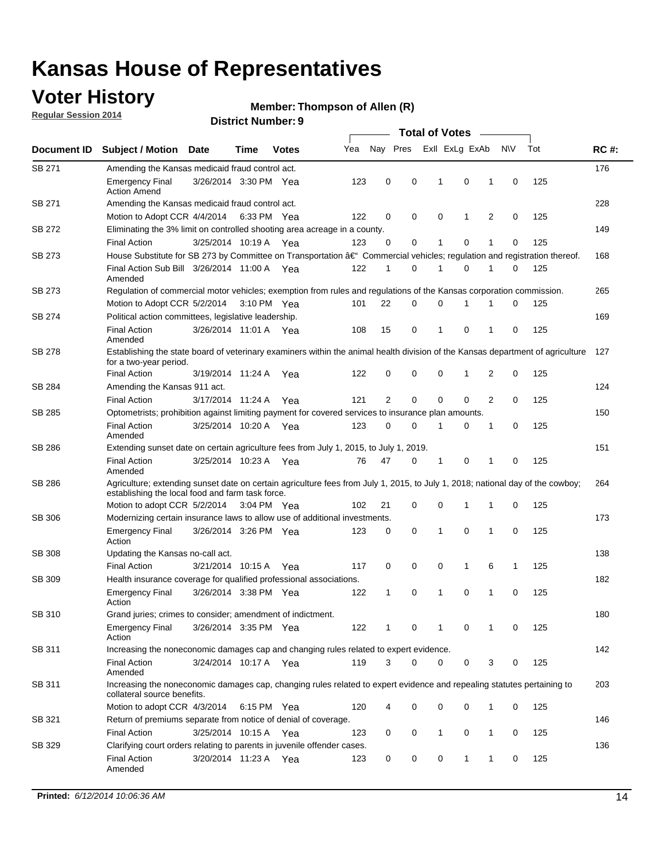## **Voter History**

**Regular Session 2014**

#### **Member: Thompson of Allen (R)**

|                    |                                                                                                                                                                                    |                       |             |              |     | <b>Total of Votes</b> |  |   |                         |             |                |             |     |             |  |
|--------------------|------------------------------------------------------------------------------------------------------------------------------------------------------------------------------------|-----------------------|-------------|--------------|-----|-----------------------|--|---|-------------------------|-------------|----------------|-------------|-----|-------------|--|
| <b>Document ID</b> | <b>Subject / Motion Date</b>                                                                                                                                                       |                       | Time        | <b>Votes</b> | Yea |                       |  |   | Nay Pres ExII ExLg ExAb |             |                | N\V         | Tot | <b>RC#:</b> |  |
| <b>SB 271</b>      | Amending the Kansas medicaid fraud control act.                                                                                                                                    |                       |             |              |     |                       |  |   |                         |             |                |             |     | 176         |  |
|                    | <b>Emergency Final</b><br><b>Action Amend</b>                                                                                                                                      | 3/26/2014 3:30 PM Yea |             |              | 123 | 0                     |  | 0 | 1                       | 0           | 1              | 0           | 125 |             |  |
| SB 271             | Amending the Kansas medicaid fraud control act.                                                                                                                                    |                       |             |              |     |                       |  |   |                         |             |                |             |     | 228         |  |
|                    | Motion to Adopt CCR 4/4/2014 6:33 PM Yea                                                                                                                                           |                       |             |              | 122 | 0                     |  | 0 | $\mathbf 0$             | 1           | 2              | $\mathbf 0$ | 125 |             |  |
| SB 272             | Eliminating the 3% limit on controlled shooting area acreage in a county.                                                                                                          |                       |             |              |     |                       |  |   |                         |             |                |             |     | 149         |  |
|                    | <b>Final Action</b>                                                                                                                                                                | 3/25/2014 10:19 A Yea |             |              | 123 | 0                     |  | 0 | 1                       | $\Omega$    | 1              | $\Omega$    | 125 |             |  |
| SB 273             | House Substitute for SB 273 by Committee on Transportation â€ <sup>4</sup> Commercial vehicles; regulation and registration thereof.                                               |                       |             |              |     |                       |  |   |                         |             |                |             |     | 168         |  |
|                    | Final Action Sub Bill 3/26/2014 11:00 A Yea<br>Amended                                                                                                                             |                       |             |              | 122 | 1                     |  | 0 | $\mathbf 1$             | $\mathbf 0$ | 1              | 0           | 125 |             |  |
| SB 273             | Regulation of commercial motor vehicles; exemption from rules and regulations of the Kansas corporation commission.                                                                |                       |             |              |     |                       |  |   |                         |             |                |             |     | 265         |  |
|                    | Motion to Adopt CCR 5/2/2014                                                                                                                                                       |                       | 3:10 PM Yea |              | 101 | 22                    |  | 0 | $\mathbf 0$             | 1           | 1              | 0           | 125 |             |  |
| SB 274             | Political action committees, legislative leadership.                                                                                                                               |                       |             |              |     |                       |  |   |                         |             |                |             |     | 169         |  |
|                    | <b>Final Action</b><br>Amended                                                                                                                                                     | 3/26/2014 11:01 A Yea |             |              | 108 | 15                    |  | 0 | 1                       | $\mathbf 0$ | 1              | $\mathbf 0$ | 125 |             |  |
| SB 278             | Establishing the state board of veterinary examiners within the animal health division of the Kansas department of agriculture<br>for a two-year period.                           |                       |             |              |     |                       |  |   |                         |             |                |             |     | 127         |  |
|                    | <b>Final Action</b>                                                                                                                                                                | 3/19/2014 11:24 A     |             | Yea          | 122 | 0                     |  | 0 | $\mathbf 0$             | 1           | 2              | 0           | 125 |             |  |
| SB 284             | Amending the Kansas 911 act.                                                                                                                                                       |                       |             |              |     |                       |  |   |                         |             |                |             |     | 124         |  |
|                    | <b>Final Action</b>                                                                                                                                                                | 3/17/2014 11:24 A     |             | Yea          | 121 | 2                     |  | 0 | $\mathbf 0$             | $\mathbf 0$ | $\overline{2}$ | 0           | 125 |             |  |
| SB 285             | Optometrists; prohibition against limiting payment for covered services to insurance plan amounts.                                                                                 |                       |             |              |     |                       |  |   |                         |             |                |             |     | 150         |  |
|                    | <b>Final Action</b><br>Amended                                                                                                                                                     | 3/25/2014 10:20 A Yea |             |              | 123 | 0                     |  | 0 | 1                       | 0           | $\mathbf 1$    | 0           | 125 |             |  |
| SB 286             | Extending sunset date on certain agriculture fees from July 1, 2015, to July 1, 2019.                                                                                              |                       |             |              |     |                       |  |   |                         |             |                |             |     | 151         |  |
|                    | <b>Final Action</b><br>Amended                                                                                                                                                     | 3/25/2014 10:23 A Yea |             |              | 76  | 47                    |  | 0 | 1                       | $\mathbf 0$ | 1              | 0           | 125 |             |  |
| SB 286             | Agriculture; extending sunset date on certain agriculture fees from July 1, 2015, to July 1, 2018; national day of the cowboy;<br>establishing the local food and farm task force. |                       |             |              |     |                       |  |   |                         |             |                |             |     | 264         |  |
|                    | Motion to adopt CCR 5/2/2014 3:04 PM Yea                                                                                                                                           |                       |             |              | 102 | 21                    |  | 0 | $\mathbf 0$             | 1           | 1              | 0           | 125 |             |  |
| SB 306             | Modernizing certain insurance laws to allow use of additional investments.                                                                                                         |                       |             |              |     |                       |  |   |                         |             |                |             |     | 173         |  |
|                    | <b>Emergency Final</b><br>Action                                                                                                                                                   | 3/26/2014 3:26 PM Yea |             |              | 123 | 0                     |  | 0 | 1                       | 0           | 1              | $\mathbf 0$ | 125 |             |  |
| <b>SB 308</b>      | Updating the Kansas no-call act.                                                                                                                                                   |                       |             |              |     |                       |  |   |                         |             |                |             |     | 138         |  |
|                    | <b>Final Action</b>                                                                                                                                                                | 3/21/2014 10:15 A     |             | Yea          | 117 | 0                     |  | 0 | 0                       | 1           | 6              | 1           | 125 |             |  |
| <b>SB 309</b>      | Health insurance coverage for qualified professional associations.                                                                                                                 |                       |             |              |     |                       |  |   |                         |             |                |             |     | 182         |  |
|                    | <b>Emergency Final</b><br>Action                                                                                                                                                   | 3/26/2014 3:38 PM Yea |             |              | 122 | 1                     |  | 0 | 1                       | $\mathbf 0$ | 1              | $\mathbf 0$ | 125 |             |  |
| SB 310             | Grand juries; crimes to consider; amendment of indictment.                                                                                                                         |                       |             |              |     |                       |  |   |                         |             |                |             |     | 180         |  |
|                    | <b>Emergency Final</b><br>Action                                                                                                                                                   | 3/26/2014 3:35 PM Yea |             |              | 122 | 1                     |  | 0 | 1                       | 0           | 1              | 0           | 125 |             |  |
| SB 311             | Increasing the noneconomic damages cap and changing rules related to expert evidence.                                                                                              |                       |             |              |     |                       |  |   |                         |             |                |             |     | 142         |  |
|                    | <b>Final Action</b><br>Amended                                                                                                                                                     | 3/24/2014 10:17 A Yea |             |              | 119 | 3                     |  | 0 | 0                       | 0           | 3              | 0           | 125 |             |  |
| SB 311             | Increasing the noneconomic damages cap, changing rules related to expert evidence and repealing statutes pertaining to<br>collateral source benefits.                              |                       |             |              |     |                       |  |   |                         |             |                |             |     | 203         |  |
|                    | Motion to adopt CCR 4/3/2014 6:15 PM Yea                                                                                                                                           |                       |             |              | 120 |                       |  | 0 | 0                       | 0           | 1              | 0           | 125 |             |  |
| SB 321             | Return of premiums separate from notice of denial of coverage.                                                                                                                     |                       |             |              |     |                       |  |   |                         |             |                |             |     | 146         |  |
|                    | <b>Final Action</b>                                                                                                                                                                | 3/25/2014 10:15 A Yea |             |              | 123 | 0                     |  | 0 | 1                       | 0           | $\mathbf{1}$   | 0           | 125 |             |  |
| SB 329             | Clarifying court orders relating to parents in juvenile offender cases.                                                                                                            |                       |             |              |     |                       |  |   |                         |             |                |             |     | 136         |  |
|                    | <b>Final Action</b><br>Amended                                                                                                                                                     | 3/20/2014 11:23 A Yea |             |              | 123 | 0                     |  | 0 | 0                       | 1           | 1              | 0           | 125 |             |  |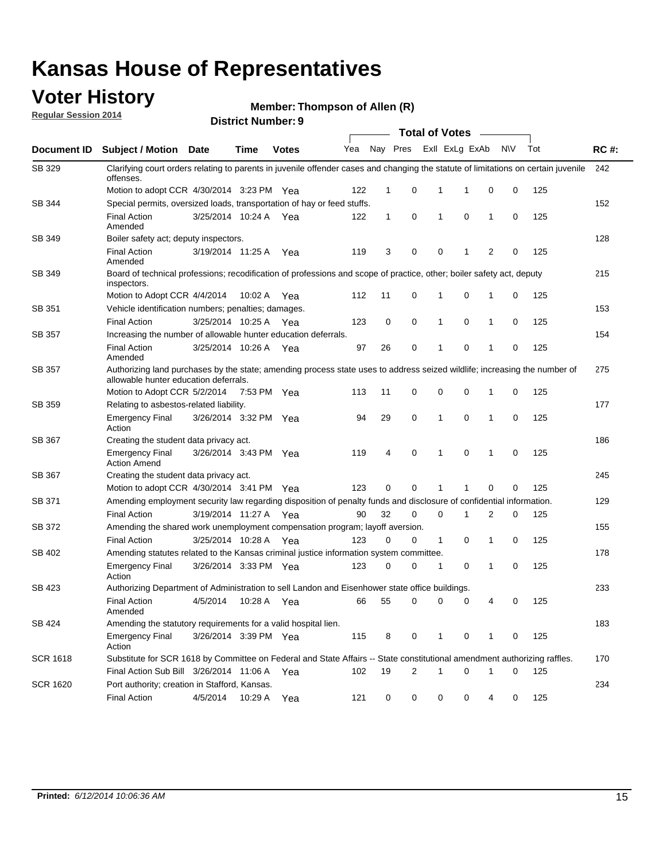### **Voter History**

**Regular Session 2014**

| <b>District Number: 9</b> |  |
|---------------------------|--|
|                           |  |

|                 |                                                                                                                                                                    |                       |             |              |     |              |          |              | <b>Total of Votes</b> |              |           |     |             |
|-----------------|--------------------------------------------------------------------------------------------------------------------------------------------------------------------|-----------------------|-------------|--------------|-----|--------------|----------|--------------|-----------------------|--------------|-----------|-----|-------------|
|                 | Document ID Subject / Motion Date                                                                                                                                  |                       | Time        | <b>Votes</b> | Yea |              | Nay Pres |              | Exll ExLg ExAb        |              | <b>NV</b> | Tot | <b>RC#:</b> |
| SB 329          | Clarifying court orders relating to parents in juvenile offender cases and changing the statute of limitations on certain juvenile<br>offenses.                    |                       |             |              |     |              |          |              |                       |              |           |     | 242         |
|                 | Motion to adopt CCR 4/30/2014 3:23 PM Yea                                                                                                                          |                       |             |              | 122 | $\mathbf 1$  | 0        | 1            | -1                    | 0            | 0         | 125 |             |
| SB 344          | Special permits, oversized loads, transportation of hay or feed stuffs.                                                                                            |                       |             |              |     |              |          |              |                       |              |           |     | 152         |
|                 | <b>Final Action</b><br>Amended                                                                                                                                     | 3/25/2014 10:24 A     |             | Yea          | 122 | $\mathbf{1}$ | 0        | $\mathbf{1}$ | 0                     | $\mathbf{1}$ | 0         | 125 |             |
| <b>SB 349</b>   | Boiler safety act; deputy inspectors.                                                                                                                              |                       |             |              |     |              |          |              |                       |              |           |     | 128         |
|                 | <b>Final Action</b><br>Amended                                                                                                                                     | 3/19/2014 11:25 A     |             | Yea          | 119 | 3            | 0        | 0            | 1                     | 2            | 0         | 125 |             |
| SB 349          | Board of technical professions; recodification of professions and scope of practice, other; boiler safety act, deputy<br>inspectors.                               |                       |             |              |     |              |          |              |                       |              |           |     | 215         |
|                 | Motion to Adopt CCR 4/4/2014                                                                                                                                       |                       | 10:02 A     | Yea          | 112 | 11           | 0        | 1            | 0                     | 1            | 0         | 125 |             |
| SB 351          | Vehicle identification numbers; penalties; damages.                                                                                                                |                       |             |              |     |              |          |              |                       |              |           |     | 153         |
|                 | <b>Final Action</b>                                                                                                                                                | 3/25/2014 10:25 A     |             | Yea          | 123 | 0            | 0        | 1            | 0                     | 1            | 0         | 125 |             |
| SB 357          | Increasing the number of allowable hunter education deferrals.                                                                                                     |                       |             |              |     |              |          |              |                       |              |           |     | 154         |
|                 | <b>Final Action</b><br>Amended                                                                                                                                     | 3/25/2014 10:26 A     |             | Yea          | 97  | 26           | 0        | $\mathbf{1}$ | 0                     | 1            | 0         | 125 |             |
| SB 357          | Authorizing land purchases by the state; amending process state uses to address seized wildlife; increasing the number of<br>allowable hunter education deferrals. |                       |             |              |     |              |          |              |                       |              |           |     | 275         |
|                 | Motion to Adopt CCR 5/2/2014                                                                                                                                       |                       | 7:53 PM Yea |              | 113 | 11           | 0        | 0            | $\mathbf 0$           | 1            | 0         | 125 |             |
| SB 359          | Relating to asbestos-related liability.                                                                                                                            |                       |             |              |     |              |          |              |                       |              |           |     | 177         |
|                 | <b>Emergency Final</b><br>Action                                                                                                                                   | 3/26/2014 3:32 PM Yea |             |              | 94  | 29           | 0        | 1            | $\Omega$              | 1            | 0         | 125 |             |
| <b>SB 367</b>   | Creating the student data privacy act.                                                                                                                             |                       |             |              |     |              |          |              |                       |              |           |     | 186         |
|                 | <b>Emergency Final</b><br><b>Action Amend</b>                                                                                                                      | 3/26/2014 3:43 PM Yea |             |              | 119 | 4            | 0        | $\mathbf{1}$ | 0                     | 1            | 0         | 125 |             |
| SB 367          | Creating the student data privacy act.                                                                                                                             |                       |             |              |     |              |          |              |                       |              |           |     | 245         |
|                 | Motion to adopt CCR 4/30/2014 3:41 PM Yea                                                                                                                          |                       |             |              | 123 | 0            | 0        | 1            | 1                     | 0            | 0         | 125 |             |
| SB 371          | Amending employment security law regarding disposition of penalty funds and disclosure of confidential information.                                                |                       |             |              |     |              |          |              |                       |              |           |     | 129         |
|                 | <b>Final Action</b>                                                                                                                                                | 3/19/2014 11:27 A     |             | Yea          | 90  | 32           | 0        | $\mathbf 0$  | 1                     | 2            | 0         | 125 |             |
| SB 372          | Amending the shared work unemployment compensation program; layoff aversion.                                                                                       |                       |             |              |     |              |          |              |                       |              |           |     | 155         |
|                 | <b>Final Action</b>                                                                                                                                                | 3/25/2014 10:28 A     |             | Yea          | 123 | 0            | 0        | 1            | 0                     | 1            | 0         | 125 |             |
| SB 402          | Amending statutes related to the Kansas criminal justice information system committee.                                                                             |                       |             |              |     |              |          |              |                       |              |           |     | 178         |
|                 | <b>Emergency Final</b><br>Action                                                                                                                                   | 3/26/2014 3:33 PM Yea |             |              | 123 | 0            | 0        | 1            | 0                     | $\mathbf{1}$ | 0         | 125 |             |
| SB 423          | Authorizing Department of Administration to sell Landon and Eisenhower state office buildings.                                                                     |                       |             |              |     |              |          |              |                       |              |           |     | 233         |
|                 | <b>Final Action</b><br>Amended                                                                                                                                     | 4/5/2014              | 10:28 A     | Yea          | 66  | 55           | 0        | 0            | 0                     | 4            | 0         | 125 |             |
| SB 424          | Amending the statutory requirements for a valid hospital lien.                                                                                                     |                       |             |              |     |              |          |              |                       |              |           |     | 183         |
|                 | <b>Emergency Final</b><br>Action                                                                                                                                   | 3/26/2014 3:39 PM Yea |             |              | 115 | 8            | 0        | 1            | 0                     | 1            | 0         | 125 |             |
| <b>SCR 1618</b> | Substitute for SCR 1618 by Committee on Federal and State Affairs -- State constitutional amendment authorizing raffles.                                           |                       |             |              |     |              |          |              |                       |              |           |     | 170         |
|                 | Final Action Sub Bill 3/26/2014 11:06 A Yea                                                                                                                        |                       |             |              | 102 | 19           | 2        | 1            | 0                     | 1            | 0         | 125 |             |
| <b>SCR 1620</b> | Port authority; creation in Stafford, Kansas.                                                                                                                      |                       |             |              |     |              |          |              |                       |              |           |     | 234         |
|                 | <b>Final Action</b>                                                                                                                                                | 4/5/2014              | 10:29 A     | Yea          | 121 | 0            | 0        | 0            | 0                     | 4            | 0         | 125 |             |